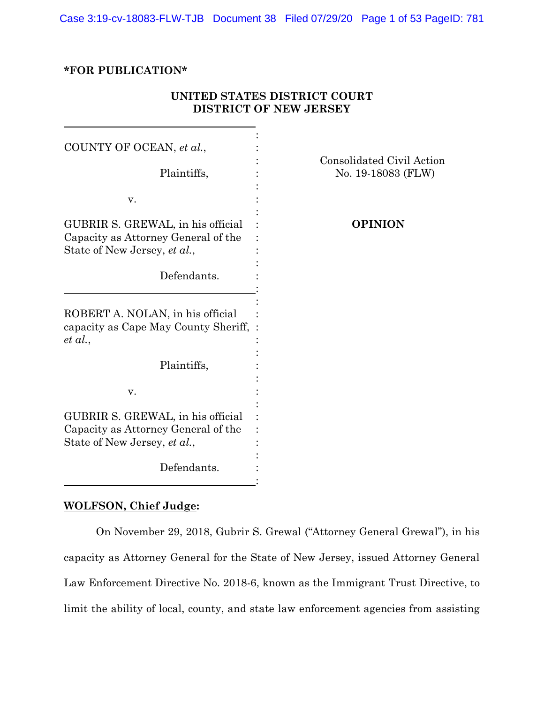Case 3:19-cv-18083-FLW-TJB Document 38 Filed 07/29/20 Page 1 of 53 PageID: 781

# **\*FOR PUBLICATION\***

| COUNTY OF OCEAN, et al.,<br>Plaintiffs,                                                                  | Consolidated Civil Action<br>No. 19-18083 (FLW) |
|----------------------------------------------------------------------------------------------------------|-------------------------------------------------|
|                                                                                                          |                                                 |
| V.                                                                                                       |                                                 |
| GUBRIR S. GREWAL, in his official<br>Capacity as Attorney General of the<br>State of New Jersey, et al., | <b>OPINION</b>                                  |
| Defendants.                                                                                              |                                                 |
| ROBERT A. NOLAN, in his official<br>capacity as Cape May County Sheriff,<br>et al.,                      |                                                 |
| Plaintiffs,                                                                                              |                                                 |
| V.                                                                                                       |                                                 |
| GUBRIR S. GREWAL, in his official<br>Capacity as Attorney General of the<br>State of New Jersey, et al., |                                                 |
| Defendants.                                                                                              |                                                 |

# **UNITED STATES DISTRICT COURT DISTRICT OF NEW JERSEY**

# **WOLFSON, Chief Judge:**

On November 29, 2018, Gubrir S. Grewal ("Attorney General Grewal"), in his capacity as Attorney General for the State of New Jersey, issued Attorney General Law Enforcement Directive No. 2018-6, known as the Immigrant Trust Directive, to limit the ability of local, county, and state law enforcement agencies from assisting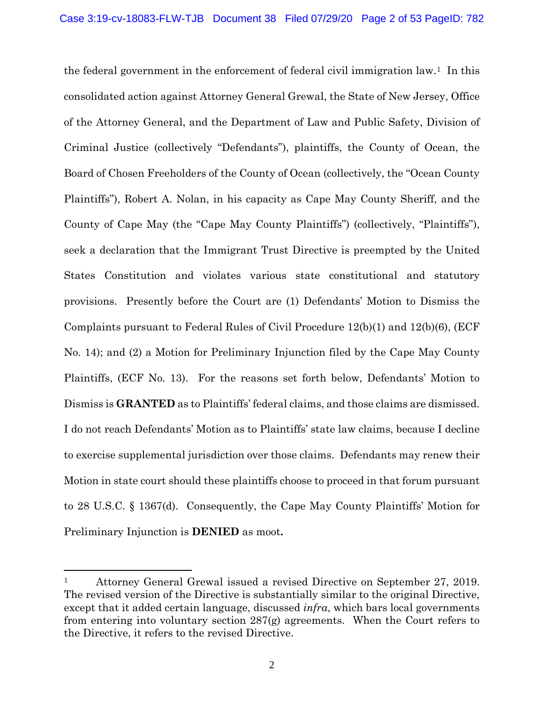the federal government in the enforcement of federal civil immigration law.1 In this consolidated action against Attorney General Grewal, the State of New Jersey, Office of the Attorney General, and the Department of Law and Public Safety, Division of Criminal Justice (collectively "Defendants"), plaintiffs, the County of Ocean, the Board of Chosen Freeholders of the County of Ocean (collectively, the "Ocean County Plaintiffs"), Robert A. Nolan, in his capacity as Cape May County Sheriff, and the County of Cape May (the "Cape May County Plaintiffs") (collectively, "Plaintiffs"), seek a declaration that the Immigrant Trust Directive is preempted by the United States Constitution and violates various state constitutional and statutory provisions. Presently before the Court are (1) Defendants' Motion to Dismiss the Complaints pursuant to Federal Rules of Civil Procedure 12(b)(1) and 12(b)(6), (ECF No. 14); and (2) a Motion for Preliminary Injunction filed by the Cape May County Plaintiffs, (ECF No. 13). For the reasons set forth below, Defendants' Motion to Dismiss is **GRANTED** as to Plaintiffs' federal claims, and those claims are dismissed. I do not reach Defendants' Motion as to Plaintiffs' state law claims, because I decline to exercise supplemental jurisdiction over those claims. Defendants may renew their Motion in state court should these plaintiffs choose to proceed in that forum pursuant to 28 U.S.C. § 1367(d). Consequently, the Cape May County Plaintiffs' Motion for Preliminary Injunction is **DENIED** as moot**.** 

<sup>&</sup>lt;sup>1</sup> Attorney General Grewal issued a revised Directive on September 27, 2019. The revised version of the Directive is substantially similar to the original Directive, except that it added certain language, discussed *infra*, which bars local governments from entering into voluntary section  $287(g)$  agreements. When the Court refers to the Directive, it refers to the revised Directive.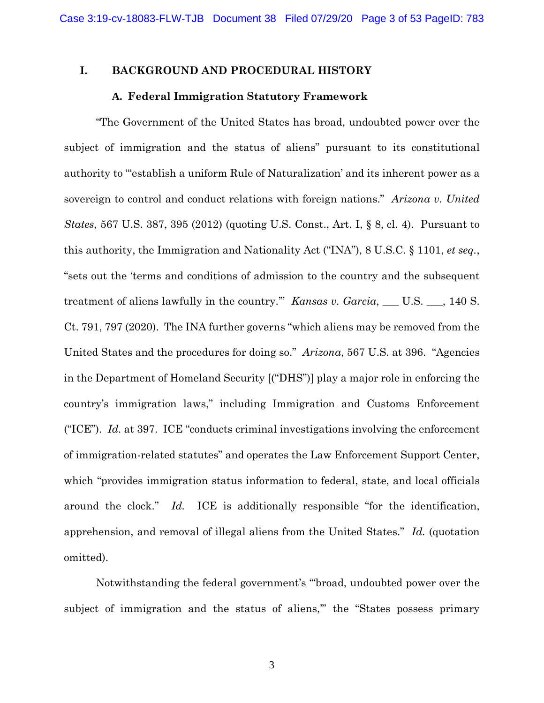# **I. BACKGROUND AND PROCEDURAL HISTORY**

### **A. Federal Immigration Statutory Framework**

"The Government of the United States has broad, undoubted power over the subject of immigration and the status of aliens" pursuant to its constitutional authority to "'establish a uniform Rule of Naturalization' and its inherent power as a sovereign to control and conduct relations with foreign nations." *Arizona v. United States*, 567 U.S. 387, 395 (2012) (quoting U.S. Const., Art. I, § 8, cl. 4). Pursuant to this authority, the Immigration and Nationality Act ("INA"), 8 U.S.C. § 1101, *et seq.*, "sets out the 'terms and conditions of admission to the country and the subsequent treatment of aliens lawfully in the country.'" *Kansas v. Garcia*, \_\_\_ U.S. \_\_\_, 140 S. Ct. 791, 797 (2020). The INA further governs "which aliens may be removed from the United States and the procedures for doing so." *Arizona*, 567 U.S. at 396. "Agencies in the Department of Homeland Security [("DHS")] play a major role in enforcing the country's immigration laws," including Immigration and Customs Enforcement ("ICE"). *Id.* at 397. ICE "conducts criminal investigations involving the enforcement of immigration-related statutes" and operates the Law Enforcement Support Center, which "provides immigration status information to federal, state, and local officials around the clock." *Id.* ICE is additionally responsible "for the identification, apprehension, and removal of illegal aliens from the United States." *Id.* (quotation omitted).

Notwithstanding the federal government's "'broad, undoubted power over the subject of immigration and the status of aliens," the "States possess primary

3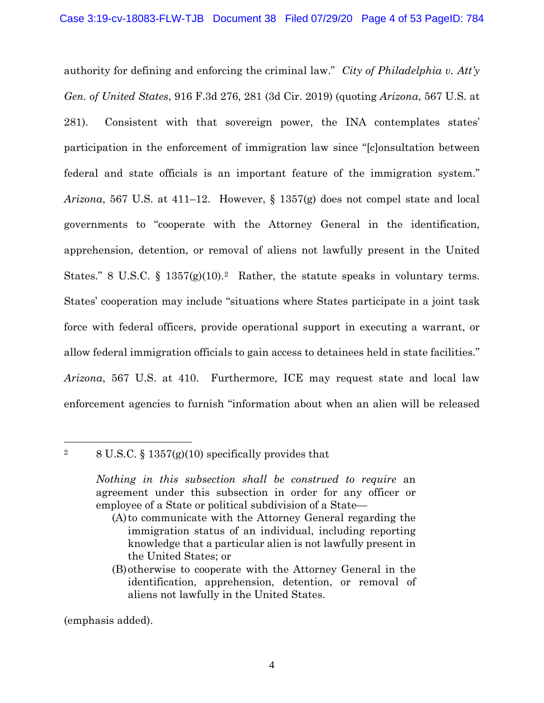authority for defining and enforcing the criminal law." *City of Philadelphia v. Att'y Gen. of United States*, 916 F.3d 276, 281 (3d Cir. 2019) (quoting *Arizona*, 567 U.S. at 281). Consistent with that sovereign power, the INA contemplates states' participation in the enforcement of immigration law since "[c]onsultation between federal and state officials is an important feature of the immigration system." *Arizona*, 567 U.S. at 411–12. However, § 1357(g) does not compel state and local governments to "cooperate with the Attorney General in the identification, apprehension, detention, or removal of aliens not lawfully present in the United States." 8 U.S.C.  $\S$  1357(g)(10).<sup>2</sup> Rather, the statute speaks in voluntary terms. States' cooperation may include "situations where States participate in a joint task force with federal officers, provide operational support in executing a warrant, or allow federal immigration officials to gain access to detainees held in state facilities." *Arizona*, 567 U.S. at 410. Furthermore, ICE may request state and local law enforcement agencies to furnish "information about when an alien will be released

<sup>2</sup> 8 U.S.C. § 1357(g)(10) specifically provides that

(A)to communicate with the Attorney General regarding the immigration status of an individual, including reporting knowledge that a particular alien is not lawfully present in the United States; or

(emphasis added).

*Nothing in this subsection shall be construed to require* an agreement under this subsection in order for any officer or employee of a State or political subdivision of a State—

<sup>(</sup>B)otherwise to cooperate with the Attorney General in the identification, apprehension, detention, or removal of aliens not lawfully in the United States.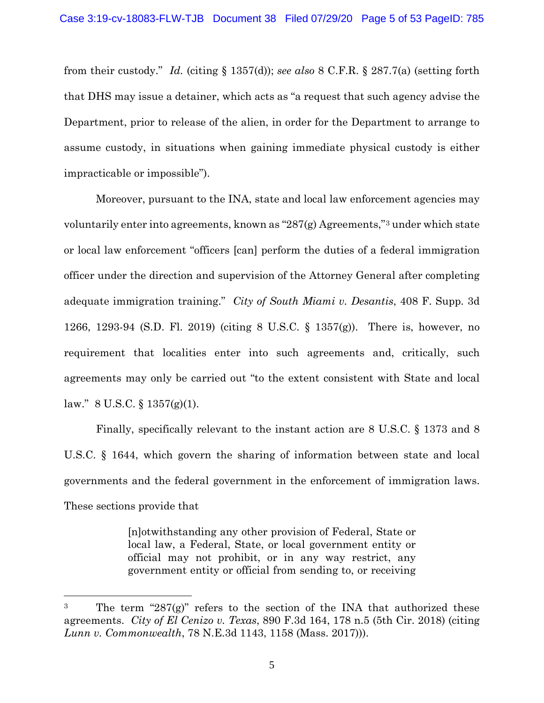from their custody." *Id.* (citing § 1357(d)); *see also* 8 C.F.R. § 287.7(a) (setting forth that DHS may issue a detainer, which acts as "a request that such agency advise the Department, prior to release of the alien, in order for the Department to arrange to assume custody, in situations when gaining immediate physical custody is either impracticable or impossible").

Moreover, pursuant to the INA, state and local law enforcement agencies may voluntarily enter into agreements, known as "287(g) Agreements,"3 under which state or local law enforcement "officers [can] perform the duties of a federal immigration officer under the direction and supervision of the Attorney General after completing adequate immigration training." *City of South Miami v. Desantis*, 408 F. Supp. 3d 1266, 1293-94 (S.D. Fl. 2019) (citing 8 U.S.C. § 1357(g)). There is, however, no requirement that localities enter into such agreements and, critically, such agreements may only be carried out "to the extent consistent with State and local law."  $8 \text{ U.S.C.} \$   $1357(g)(1)$ .

Finally, specifically relevant to the instant action are 8 U.S.C. § 1373 and 8 U.S.C. § 1644, which govern the sharing of information between state and local governments and the federal government in the enforcement of immigration laws. These sections provide that

> [n]otwithstanding any other provision of Federal, State or local law, a Federal, State, or local government entity or official may not prohibit, or in any way restrict, any government entity or official from sending to, or receiving

<sup>&</sup>lt;sup>3</sup> The term "287 $(g)$ " refers to the section of the INA that authorized these agreements. *City of El Cenizo v. Texas*, 890 F.3d 164, 178 n.5 (5th Cir. 2018) (citing *Lunn v. Commonwealth*, 78 N.E.3d 1143, 1158 (Mass. 2017))).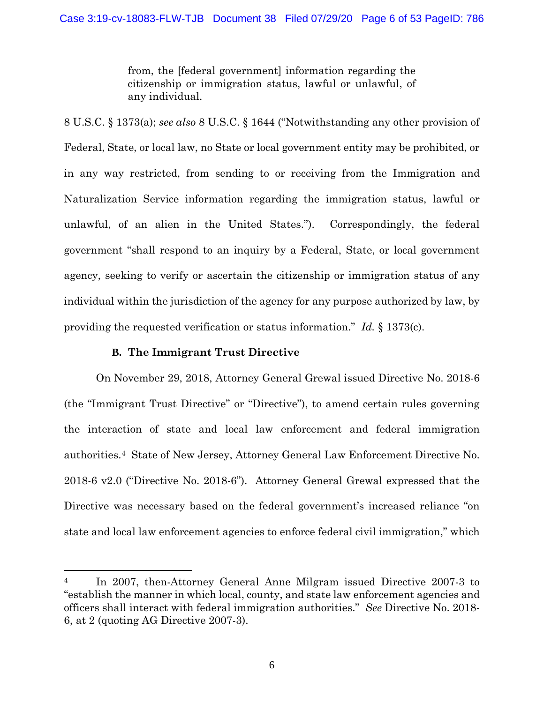from, the [federal government] information regarding the citizenship or immigration status, lawful or unlawful, of any individual.

8 U.S.C. § 1373(a); *see also* 8 U.S.C. § 1644 ("Notwithstanding any other provision of Federal, State, or local law, no State or local government entity may be prohibited, or in any way restricted, from sending to or receiving from the Immigration and Naturalization Service information regarding the immigration status, lawful or unlawful, of an alien in the United States."). Correspondingly, the federal government "shall respond to an inquiry by a Federal, State, or local government agency, seeking to verify or ascertain the citizenship or immigration status of any individual within the jurisdiction of the agency for any purpose authorized by law, by providing the requested verification or status information." *Id.* § 1373(c).

# **B. The Immigrant Trust Directive**

On November 29, 2018, Attorney General Grewal issued Directive No. 2018-6 (the "Immigrant Trust Directive" or "Directive"), to amend certain rules governing the interaction of state and local law enforcement and federal immigration authorities.4 State of New Jersey, Attorney General Law Enforcement Directive No. 2018-6 v2.0 ("Directive No. 2018-6"). Attorney General Grewal expressed that the Directive was necessary based on the federal government's increased reliance "on state and local law enforcement agencies to enforce federal civil immigration," which

<sup>&</sup>lt;sup>4</sup> In 2007, then-Attorney General Anne Milgram issued Directive 2007-3 to "establish the manner in which local, county, and state law enforcement agencies and officers shall interact with federal immigration authorities." *See* Directive No. 2018- 6, at 2 (quoting AG Directive 2007-3).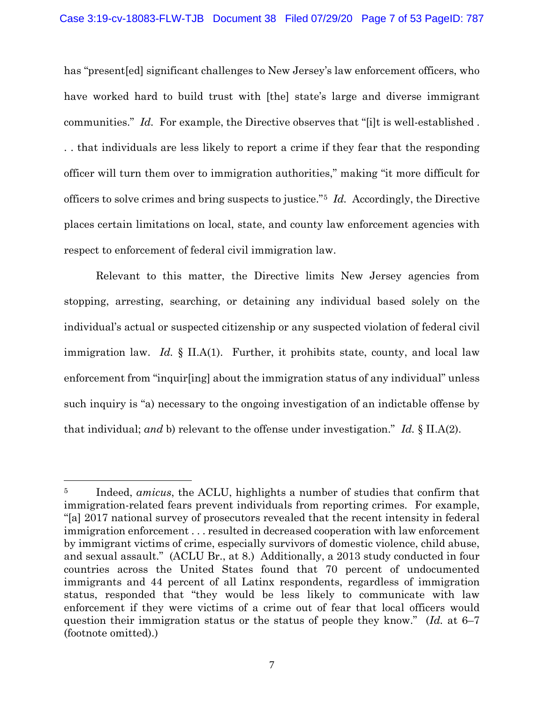has "present[ed] significant challenges to New Jersey's law enforcement officers, who have worked hard to build trust with [the] state's large and diverse immigrant communities." *Id.* For example, the Directive observes that "[i]t is well-established. . . that individuals are less likely to report a crime if they fear that the responding officer will turn them over to immigration authorities," making "it more difficult for officers to solve crimes and bring suspects to justice."5 *Id.* Accordingly, the Directive places certain limitations on local, state, and county law enforcement agencies with respect to enforcement of federal civil immigration law.

Relevant to this matter, the Directive limits New Jersey agencies from stopping, arresting, searching, or detaining any individual based solely on the individual's actual or suspected citizenship or any suspected violation of federal civil immigration law. *Id.* § II.A(1). Further, it prohibits state, county, and local law enforcement from "inquir[ing] about the immigration status of any individual" unless such inquiry is "a) necessary to the ongoing investigation of an indictable offense by that individual; *and* b) relevant to the offense under investigation." *Id.* § II.A(2).

<sup>5</sup> Indeed, *amicus*, the ACLU, highlights a number of studies that confirm that immigration-related fears prevent individuals from reporting crimes. For example, "[a] 2017 national survey of prosecutors revealed that the recent intensity in federal immigration enforcement . . . resulted in decreased cooperation with law enforcement by immigrant victims of crime, especially survivors of domestic violence, child abuse, and sexual assault." (ACLU Br., at 8.) Additionally, a 2013 study conducted in four countries across the United States found that 70 percent of undocumented immigrants and 44 percent of all Latinx respondents, regardless of immigration status, responded that "they would be less likely to communicate with law enforcement if they were victims of a crime out of fear that local officers would question their immigration status or the status of people they know." (*Id.* at 6–7 (footnote omitted).)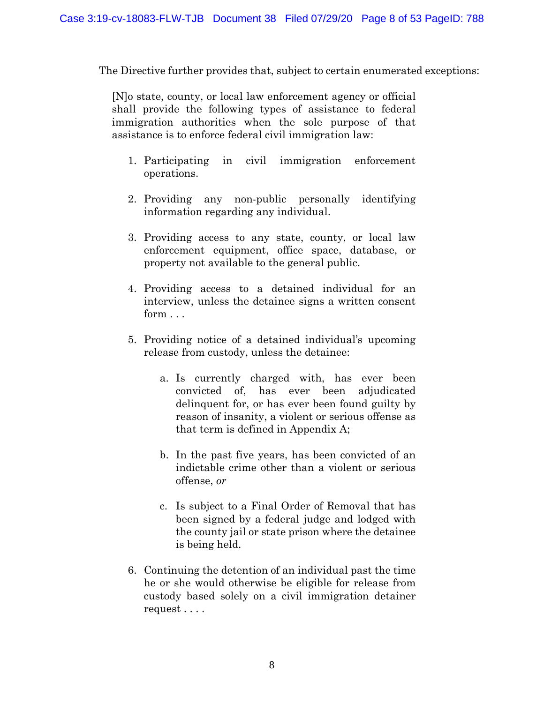The Directive further provides that, subject to certain enumerated exceptions:

[N]o state, county, or local law enforcement agency or official shall provide the following types of assistance to federal immigration authorities when the sole purpose of that assistance is to enforce federal civil immigration law:

- 1. Participating in civil immigration enforcement operations.
- 2. Providing any non-public personally identifying information regarding any individual.
- 3. Providing access to any state, county, or local law enforcement equipment, office space, database, or property not available to the general public.
- 4. Providing access to a detained individual for an interview, unless the detainee signs a written consent form  $\sim$
- 5. Providing notice of a detained individual's upcoming release from custody, unless the detainee:
	- a. Is currently charged with, has ever been convicted of, has ever been adjudicated delinquent for, or has ever been found guilty by reason of insanity, a violent or serious offense as that term is defined in Appendix A;
	- b. In the past five years, has been convicted of an indictable crime other than a violent or serious offense, *or*
	- c. Is subject to a Final Order of Removal that has been signed by a federal judge and lodged with the county jail or state prison where the detainee is being held.
- 6. Continuing the detention of an individual past the time he or she would otherwise be eligible for release from custody based solely on a civil immigration detainer request . . . .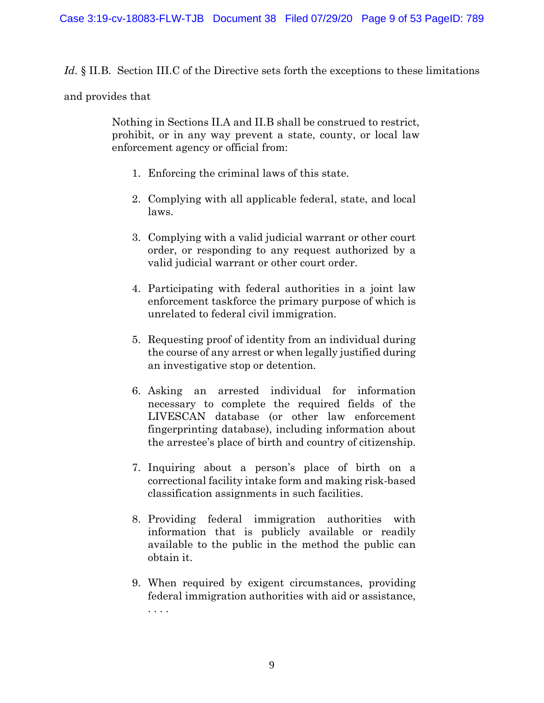Id. § II.B. Section III.C of the Directive sets forth the exceptions to these limitations

# and provides that

Nothing in Sections II.A and II.B shall be construed to restrict, prohibit, or in any way prevent a state, county, or local law enforcement agency or official from:

- 1. Enforcing the criminal laws of this state.
- 2. Complying with all applicable federal, state, and local laws.
- 3. Complying with a valid judicial warrant or other court order, or responding to any request authorized by a valid judicial warrant or other court order.
- 4. Participating with federal authorities in a joint law enforcement taskforce the primary purpose of which is unrelated to federal civil immigration.
- 5. Requesting proof of identity from an individual during the course of any arrest or when legally justified during an investigative stop or detention.
- 6. Asking an arrested individual for information necessary to complete the required fields of the LIVESCAN database (or other law enforcement fingerprinting database), including information about the arrestee's place of birth and country of citizenship.
- 7. Inquiring about a person's place of birth on a correctional facility intake form and making risk-based classification assignments in such facilities.
- 8. Providing federal immigration authorities with information that is publicly available or readily available to the public in the method the public can obtain it.
- 9. When required by exigent circumstances, providing federal immigration authorities with aid or assistance, . . . .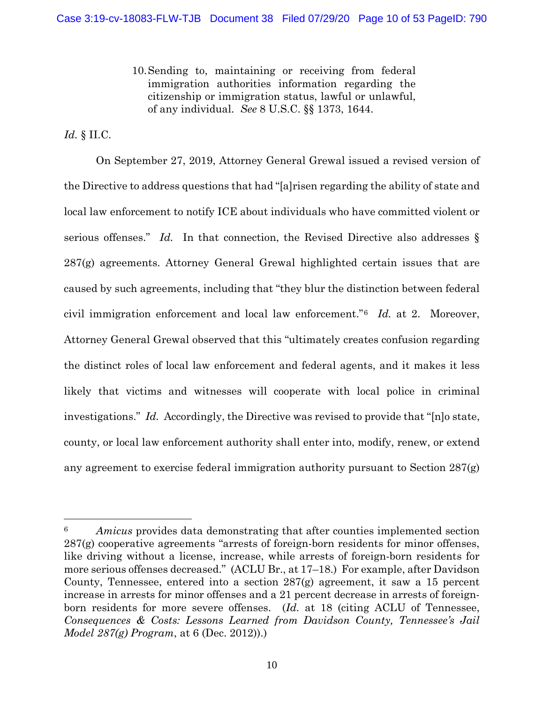10.Sending to, maintaining or receiving from federal immigration authorities information regarding the citizenship or immigration status, lawful or unlawful, of any individual. *See* 8 U.S.C. §§ 1373, 1644.

# *Id.* § II.C.

On September 27, 2019, Attorney General Grewal issued a revised version of the Directive to address questions that had "[a]risen regarding the ability of state and local law enforcement to notify ICE about individuals who have committed violent or serious offenses." *Id.* In that connection, the Revised Directive also addresses § 287(g) agreements. Attorney General Grewal highlighted certain issues that are caused by such agreements, including that "they blur the distinction between federal civil immigration enforcement and local law enforcement."6 *Id.* at 2. Moreover, Attorney General Grewal observed that this "ultimately creates confusion regarding the distinct roles of local law enforcement and federal agents, and it makes it less likely that victims and witnesses will cooperate with local police in criminal investigations." *Id.* Accordingly, the Directive was revised to provide that "[n]o state, county, or local law enforcement authority shall enter into, modify, renew, or extend any agreement to exercise federal immigration authority pursuant to Section 287(g)

<sup>6</sup> *Amicus* provides data demonstrating that after counties implemented section 287(g) cooperative agreements "arrests of foreign-born residents for minor offenses, like driving without a license, increase, while arrests of foreign-born residents for more serious offenses decreased." (ACLU Br., at 17–18.) For example, after Davidson County, Tennessee, entered into a section 287(g) agreement, it saw a 15 percent increase in arrests for minor offenses and a 21 percent decrease in arrests of foreignborn residents for more severe offenses. (*Id.* at 18 (citing ACLU of Tennessee, *Consequences & Costs: Lessons Learned from Davidson County, Tennessee's Jail Model 287(g) Program*, at 6 (Dec. 2012)).)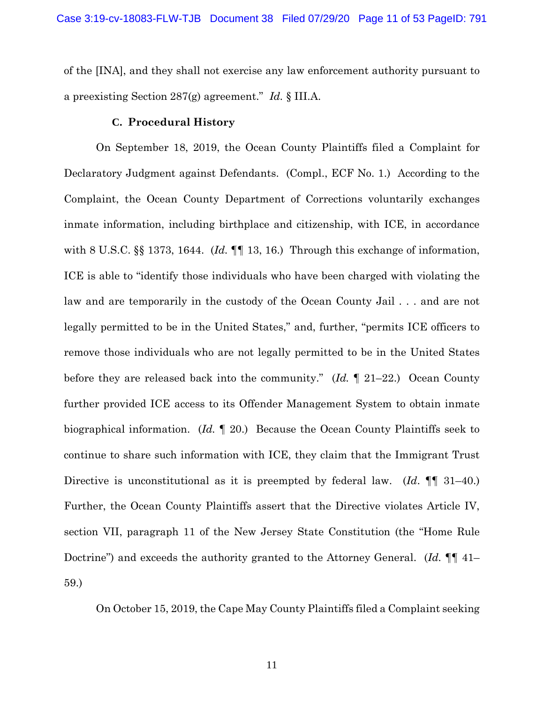of the [INA], and they shall not exercise any law enforcement authority pursuant to a preexisting Section 287(g) agreement." *Id.* § III.A.

### **C. Procedural History**

On September 18, 2019, the Ocean County Plaintiffs filed a Complaint for Declaratory Judgment against Defendants. (Compl., ECF No. 1.) According to the Complaint, the Ocean County Department of Corrections voluntarily exchanges inmate information, including birthplace and citizenship, with ICE, in accordance with 8 U.S.C. §§ 1373, 1644. (*Id.* ¶¶ 13, 16.) Through this exchange of information, ICE is able to "identify those individuals who have been charged with violating the law and are temporarily in the custody of the Ocean County Jail . . . and are not legally permitted to be in the United States," and, further, "permits ICE officers to remove those individuals who are not legally permitted to be in the United States before they are released back into the community." (*Id.* ¶ 21–22.) Ocean County further provided ICE access to its Offender Management System to obtain inmate biographical information. (*Id.* ¶ 20.) Because the Ocean County Plaintiffs seek to continue to share such information with ICE, they claim that the Immigrant Trust Directive is unconstitutional as it is preempted by federal law. (*Id*. ¶¶ 31–40.) Further, the Ocean County Plaintiffs assert that the Directive violates Article IV, section VII, paragraph 11 of the New Jersey State Constitution (the "Home Rule Doctrine") and exceeds the authority granted to the Attorney General. (*Id.* ¶¶ 41– 59.)

On October 15, 2019, the Cape May County Plaintiffs filed a Complaint seeking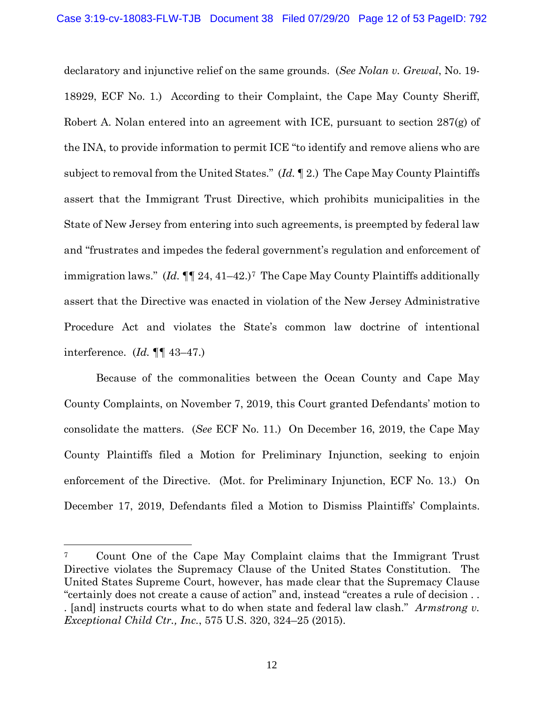declaratory and injunctive relief on the same grounds. (*See Nolan v. Grewal*, No. 19- 18929, ECF No. 1.) According to their Complaint, the Cape May County Sheriff, Robert A. Nolan entered into an agreement with ICE, pursuant to section 287(g) of the INA, to provide information to permit ICE "to identify and remove aliens who are subject to removal from the United States." (*Id.* ¶ 2.) The Cape May County Plaintiffs assert that the Immigrant Trust Directive, which prohibits municipalities in the State of New Jersey from entering into such agreements, is preempted by federal law and "frustrates and impedes the federal government's regulation and enforcement of immigration laws." (*Id.* ¶¶ 24, 41–42.)7 The Cape May County Plaintiffs additionally assert that the Directive was enacted in violation of the New Jersey Administrative Procedure Act and violates the State's common law doctrine of intentional interference. (*Id.* ¶¶ 43–47.)

Because of the commonalities between the Ocean County and Cape May County Complaints, on November 7, 2019, this Court granted Defendants' motion to consolidate the matters. (*See* ECF No. 11.) On December 16, 2019, the Cape May County Plaintiffs filed a Motion for Preliminary Injunction, seeking to enjoin enforcement of the Directive. (Mot. for Preliminary Injunction, ECF No. 13.) On December 17, 2019, Defendants filed a Motion to Dismiss Plaintiffs' Complaints.

<sup>7</sup> Count One of the Cape May Complaint claims that the Immigrant Trust Directive violates the Supremacy Clause of the United States Constitution. The United States Supreme Court, however, has made clear that the Supremacy Clause "certainly does not create a cause of action" and, instead "creates a rule of decision . . . [and] instructs courts what to do when state and federal law clash." *Armstrong v. Exceptional Child Ctr., Inc.*, 575 U.S. 320, 324–25 (2015).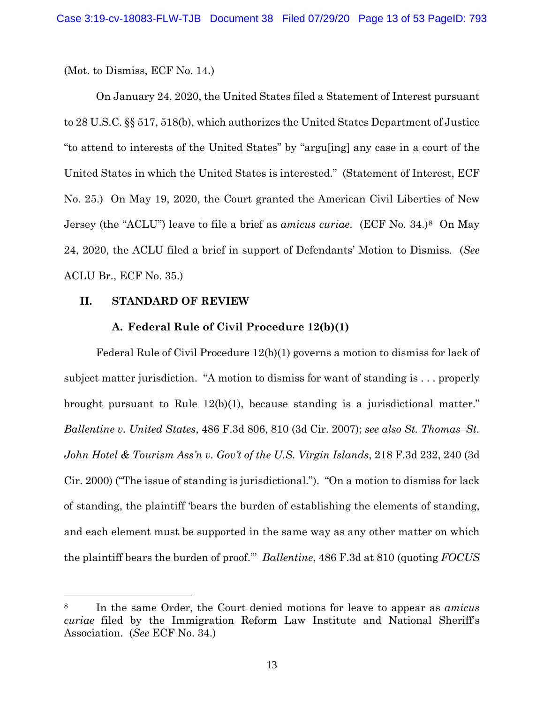(Mot. to Dismiss, ECF No. 14.)

On January 24, 2020, the United States filed a Statement of Interest pursuant to 28 U.S.C. §§ 517, 518(b), which authorizes the United States Department of Justice "to attend to interests of the United States" by "argu[ing] any case in a court of the United States in which the United States is interested." (Statement of Interest, ECF No. 25.) On May 19, 2020, the Court granted the American Civil Liberties of New Jersey (the "ACLU") leave to file a brief as *amicus curiae*. (ECF No. 34.)8 On May 24, 2020, the ACLU filed a brief in support of Defendants' Motion to Dismiss. (*See* ACLU Br., ECF No. 35.)

### **II. STANDARD OF REVIEW**

# **A. Federal Rule of Civil Procedure 12(b)(1)**

Federal Rule of Civil Procedure 12(b)(1) governs a motion to dismiss for lack of subject matter jurisdiction. "A motion to dismiss for want of standing is . . . properly brought pursuant to Rule 12(b)(1), because standing is a jurisdictional matter." *Ballentine v. United States*, 486 F.3d 806, 810 (3d Cir. 2007); *see also St. Thomas–St. John Hotel & Tourism Ass'n v. Gov't of the U.S. Virgin Islands*, 218 F.3d 232, 240 (3d Cir. 2000) ("The issue of standing is jurisdictional."). "On a motion to dismiss for lack of standing, the plaintiff 'bears the burden of establishing the elements of standing, and each element must be supported in the same way as any other matter on which the plaintiff bears the burden of proof.'" *Ballentine*, 486 F.3d at 810 (quoting *FOCUS* 

<sup>8</sup> In the same Order, the Court denied motions for leave to appear as *amicus curiae* filed by the Immigration Reform Law Institute and National Sheriff's Association. (*See* ECF No. 34.)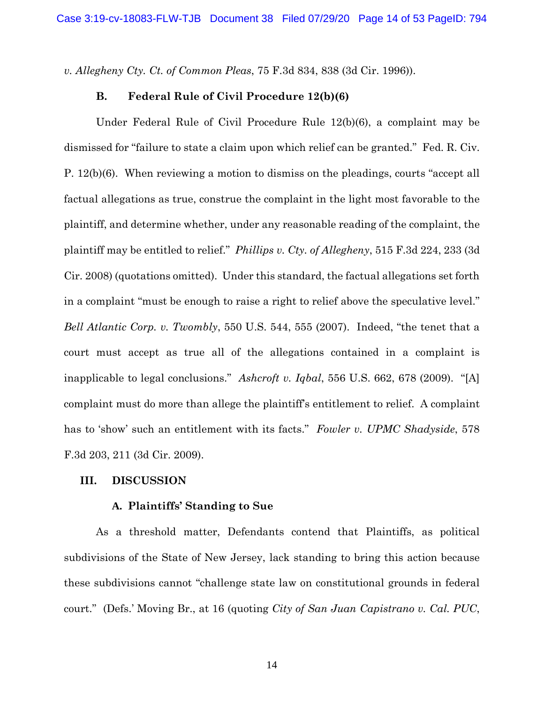*v. Allegheny Cty. Ct. of Common Pleas*, 75 F.3d 834, 838 (3d Cir. 1996)).

### **B. Federal Rule of Civil Procedure 12(b)(6)**

Under Federal Rule of Civil Procedure Rule 12(b)(6), a complaint may be dismissed for "failure to state a claim upon which relief can be granted." Fed. R. Civ. P. 12(b)(6). When reviewing a motion to dismiss on the pleadings, courts "accept all factual allegations as true, construe the complaint in the light most favorable to the plaintiff, and determine whether, under any reasonable reading of the complaint, the plaintiff may be entitled to relief." *Phillips v. Cty. of Allegheny*, 515 F.3d 224, 233 (3d Cir. 2008) (quotations omitted). Under this standard, the factual allegations set forth in a complaint "must be enough to raise a right to relief above the speculative level." *Bell Atlantic Corp. v. Twombly*, 550 U.S. 544, 555 (2007). Indeed, "the tenet that a court must accept as true all of the allegations contained in a complaint is inapplicable to legal conclusions." *Ashcroft v. Iqbal*, 556 U.S. 662, 678 (2009). "[A] complaint must do more than allege the plaintiff's entitlement to relief. A complaint has to 'show' such an entitlement with its facts." *Fowler v. UPMC Shadyside*, 578 F.3d 203, 211 (3d Cir. 2009).

### **III. DISCUSSION**

### **A. Plaintiffs' Standing to Sue**

As a threshold matter, Defendants contend that Plaintiffs, as political subdivisions of the State of New Jersey, lack standing to bring this action because these subdivisions cannot "challenge state law on constitutional grounds in federal court." (Defs.' Moving Br., at 16 (quoting *City of San Juan Capistrano v. Cal. PUC*,

14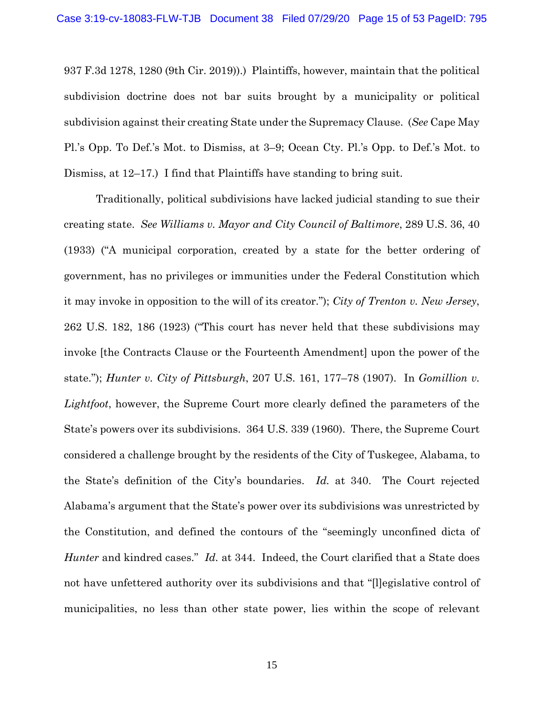937 F.3d 1278, 1280 (9th Cir. 2019)).) Plaintiffs, however, maintain that the political subdivision doctrine does not bar suits brought by a municipality or political subdivision against their creating State under the Supremacy Clause. (*See* Cape May Pl.'s Opp. To Def.'s Mot. to Dismiss, at 3–9; Ocean Cty. Pl.'s Opp. to Def.'s Mot. to Dismiss, at 12–17.) I find that Plaintiffs have standing to bring suit.

Traditionally, political subdivisions have lacked judicial standing to sue their creating state. *See Williams v. Mayor and City Council of Baltimore*, 289 U.S. 36, 40 (1933) ("A municipal corporation, created by a state for the better ordering of government, has no privileges or immunities under the Federal Constitution which it may invoke in opposition to the will of its creator."); *City of Trenton v. New Jersey*, 262 U.S. 182, 186 (1923) ("This court has never held that these subdivisions may invoke [the Contracts Clause or the Fourteenth Amendment] upon the power of the state."); *Hunter v. City of Pittsburgh*, 207 U.S. 161, 177–78 (1907). In *Gomillion v. Lightfoot*, however, the Supreme Court more clearly defined the parameters of the State's powers over its subdivisions. 364 U.S. 339 (1960). There, the Supreme Court considered a challenge brought by the residents of the City of Tuskegee, Alabama, to the State's definition of the City's boundaries. *Id.* at 340. The Court rejected Alabama's argument that the State's power over its subdivisions was unrestricted by the Constitution, and defined the contours of the "seemingly unconfined dicta of *Hunter* and kindred cases." *Id.* at 344. Indeed, the Court clarified that a State does not have unfettered authority over its subdivisions and that "[legislative control of municipalities, no less than other state power, lies within the scope of relevant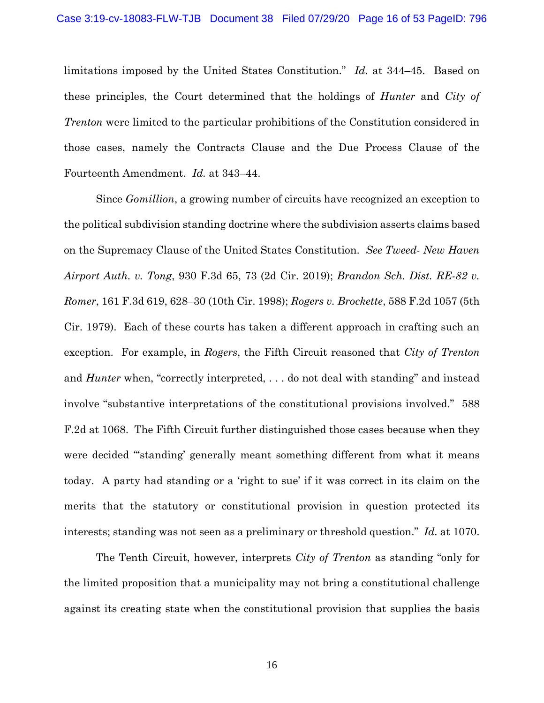limitations imposed by the United States Constitution." *Id.* at 344–45. Based on these principles, the Court determined that the holdings of *Hunter* and *City of Trenton* were limited to the particular prohibitions of the Constitution considered in those cases, namely the Contracts Clause and the Due Process Clause of the Fourteenth Amendment. *Id.* at 343–44.

Since *Gomillion*, a growing number of circuits have recognized an exception to the political subdivision standing doctrine where the subdivision asserts claims based on the Supremacy Clause of the United States Constitution. *See Tweed- New Haven Airport Auth. v. Tong*, 930 F.3d 65, 73 (2d Cir. 2019); *Brandon Sch. Dist. RE-82 v. Romer*, 161 F.3d 619, 628–30 (10th Cir. 1998); *Rogers v. Brockette*, 588 F.2d 1057 (5th Cir. 1979). Each of these courts has taken a different approach in crafting such an exception. For example, in *Rogers*, the Fifth Circuit reasoned that *City of Trenton* and *Hunter* when, "correctly interpreted, . . . do not deal with standing" and instead involve "substantive interpretations of the constitutional provisions involved." 588 F.2d at 1068. The Fifth Circuit further distinguished those cases because when they were decided "'standing' generally meant something different from what it means today. A party had standing or a 'right to sue' if it was correct in its claim on the merits that the statutory or constitutional provision in question protected its interests; standing was not seen as a preliminary or threshold question." *Id.* at 1070.

The Tenth Circuit, however, interprets *City of Trenton* as standing "only for the limited proposition that a municipality may not bring a constitutional challenge against its creating state when the constitutional provision that supplies the basis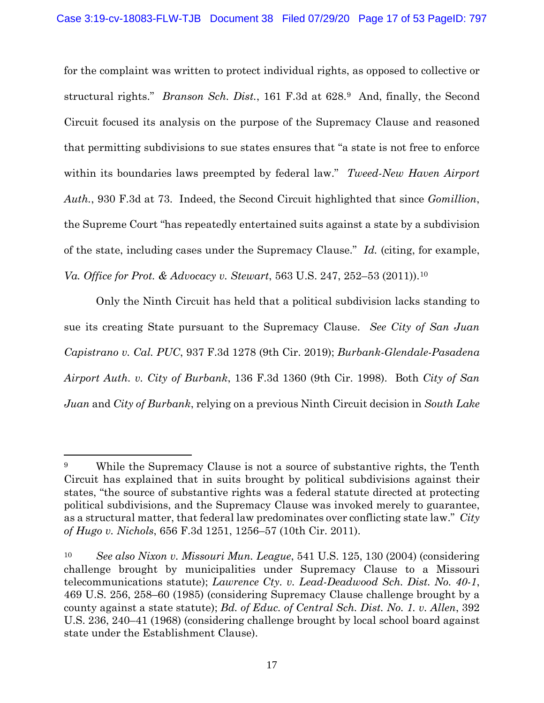for the complaint was written to protect individual rights, as opposed to collective or structural rights." *Branson Sch. Dist.*, 161 F.3d at 628.9 And, finally, the Second Circuit focused its analysis on the purpose of the Supremacy Clause and reasoned that permitting subdivisions to sue states ensures that "a state is not free to enforce within its boundaries laws preempted by federal law." *Tweed-New Haven Airport Auth.*, 930 F.3d at 73. Indeed, the Second Circuit highlighted that since *Gomillion*, the Supreme Court "has repeatedly entertained suits against a state by a subdivision of the state, including cases under the Supremacy Clause." *Id.* (citing, for example, *Va. Office for Prot. & Advocacy v. Stewart*, 563 U.S. 247, 252–53 (2011)).10

Only the Ninth Circuit has held that a political subdivision lacks standing to sue its creating State pursuant to the Supremacy Clause. *See City of San Juan Capistrano v. Cal. PUC*, 937 F.3d 1278 (9th Cir. 2019); *Burbank-Glendale-Pasadena Airport Auth. v. City of Burbank*, 136 F.3d 1360 (9th Cir. 1998). Both *City of San Juan* and *City of Burbank*, relying on a previous Ninth Circuit decision in *South Lake* 

<sup>9</sup> While the Supremacy Clause is not a source of substantive rights, the Tenth Circuit has explained that in suits brought by political subdivisions against their states, "the source of substantive rights was a federal statute directed at protecting political subdivisions, and the Supremacy Clause was invoked merely to guarantee, as a structural matter, that federal law predominates over conflicting state law." *City of Hugo v. Nichols*, 656 F.3d 1251, 1256–57 (10th Cir. 2011).

<sup>10</sup> *See also Nixon v. Missouri Mun. League*, 541 U.S. 125, 130 (2004) (considering challenge brought by municipalities under Supremacy Clause to a Missouri telecommunications statute); *Lawrence Cty. v. Lead-Deadwood Sch. Dist. No. 40-1*, 469 U.S. 256, 258–60 (1985) (considering Supremacy Clause challenge brought by a county against a state statute); *Bd. of Educ. of Central Sch. Dist. No. 1. v. Allen*, 392 U.S. 236, 240–41 (1968) (considering challenge brought by local school board against state under the Establishment Clause).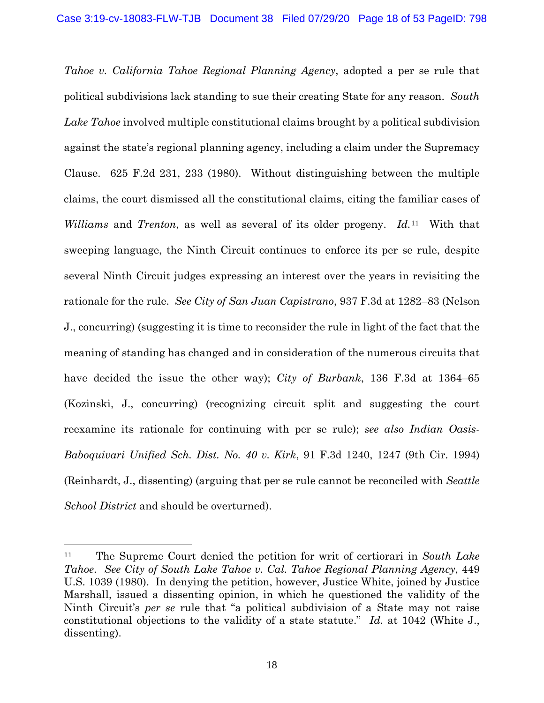*Tahoe v. California Tahoe Regional Planning Agency*, adopted a per se rule that political subdivisions lack standing to sue their creating State for any reason. *South Lake Tahoe* involved multiple constitutional claims brought by a political subdivision against the state's regional planning agency, including a claim under the Supremacy Clause. 625 F.2d 231, 233 (1980). Without distinguishing between the multiple claims, the court dismissed all the constitutional claims, citing the familiar cases of *Williams* and *Trenton*, as well as several of its older progeny. *Id.*<sup>11</sup>With that sweeping language, the Ninth Circuit continues to enforce its per se rule, despite several Ninth Circuit judges expressing an interest over the years in revisiting the rationale for the rule. *See City of San Juan Capistrano*, 937 F.3d at 1282–83 (Nelson J., concurring) (suggesting it is time to reconsider the rule in light of the fact that the meaning of standing has changed and in consideration of the numerous circuits that have decided the issue the other way); *City of Burbank*, 136 F.3d at 1364–65 (Kozinski, J., concurring) (recognizing circuit split and suggesting the court reexamine its rationale for continuing with per se rule); *see also Indian Oasis-Baboquivari Unified Sch. Dist. No. 40 v. Kirk*, 91 F.3d 1240, 1247 (9th Cir. 1994) (Reinhardt, J., dissenting) (arguing that per se rule cannot be reconciled with *Seattle School District* and should be overturned).

<sup>11</sup> The Supreme Court denied the petition for writ of certiorari in *South Lake Tahoe*. *See City of South Lake Tahoe v. Cal. Tahoe Regional Planning Agency*, 449 U.S. 1039 (1980). In denying the petition, however, Justice White, joined by Justice Marshall, issued a dissenting opinion, in which he questioned the validity of the Ninth Circuit's *per se* rule that "a political subdivision of a State may not raise constitutional objections to the validity of a state statute." *Id.* at 1042 (White J., dissenting).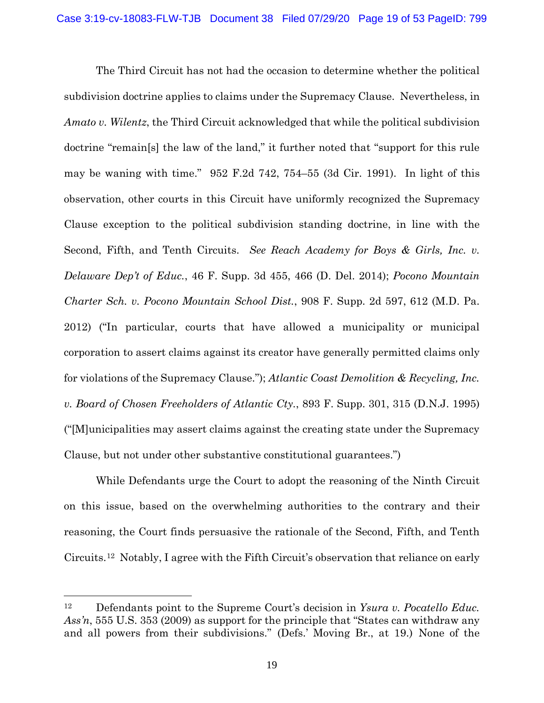The Third Circuit has not had the occasion to determine whether the political subdivision doctrine applies to claims under the Supremacy Clause. Nevertheless, in *Amato v. Wilentz*, the Third Circuit acknowledged that while the political subdivision doctrine "remain[s] the law of the land," it further noted that "support for this rule may be waning with time." 952 F.2d 742, 754–55 (3d Cir. 1991). In light of this observation, other courts in this Circuit have uniformly recognized the Supremacy Clause exception to the political subdivision standing doctrine, in line with the Second, Fifth, and Tenth Circuits. *See Reach Academy for Boys & Girls, Inc. v. Delaware Dep't of Educ.*, 46 F. Supp. 3d 455, 466 (D. Del. 2014); *Pocono Mountain Charter Sch. v. Pocono Mountain School Dist.*, 908 F. Supp. 2d 597, 612 (M.D. Pa. 2012) ("In particular, courts that have allowed a municipality or municipal corporation to assert claims against its creator have generally permitted claims only for violations of the Supremacy Clause."); *Atlantic Coast Demolition & Recycling, Inc. v. Board of Chosen Freeholders of Atlantic Cty.*, 893 F. Supp. 301, 315 (D.N.J. 1995) ("[M]unicipalities may assert claims against the creating state under the Supremacy Clause, but not under other substantive constitutional guarantees.")

While Defendants urge the Court to adopt the reasoning of the Ninth Circuit on this issue, based on the overwhelming authorities to the contrary and their reasoning, the Court finds persuasive the rationale of the Second, Fifth, and Tenth Circuits.12 Notably, I agree with the Fifth Circuit's observation that reliance on early

<sup>12</sup> Defendants point to the Supreme Court's decision in *Ysura v. Pocatello Educ. Ass'n*, 555 U.S. 353 (2009) as support for the principle that "States can withdraw any and all powers from their subdivisions." (Defs.' Moving Br., at 19.) None of the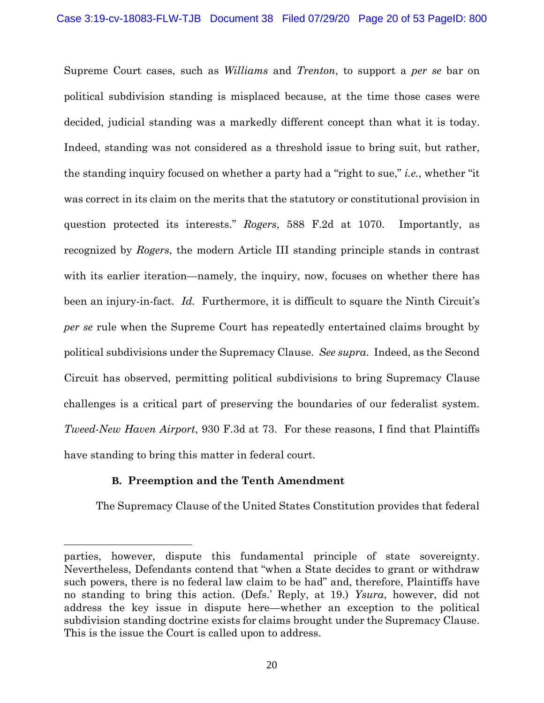Supreme Court cases, such as *Williams* and *Trenton*, to support a *per se* bar on political subdivision standing is misplaced because, at the time those cases were decided, judicial standing was a markedly different concept than what it is today. Indeed, standing was not considered as a threshold issue to bring suit, but rather, the standing inquiry focused on whether a party had a "right to sue," *i.e.*, whether "it was correct in its claim on the merits that the statutory or constitutional provision in question protected its interests." *Rogers*, 588 F.2d at 1070. Importantly, as recognized by *Rogers*, the modern Article III standing principle stands in contrast with its earlier iteration—namely, the inquiry, now, focuses on whether there has been an injury-in-fact. *Id.* Furthermore, it is difficult to square the Ninth Circuit's *per se* rule when the Supreme Court has repeatedly entertained claims brought by political subdivisions under the Supremacy Clause. *See supra*. Indeed, as the Second Circuit has observed, permitting political subdivisions to bring Supremacy Clause challenges is a critical part of preserving the boundaries of our federalist system. *Tweed-New Haven Airport*, 930 F.3d at 73. For these reasons, I find that Plaintiffs have standing to bring this matter in federal court.

# **B. Preemption and the Tenth Amendment**

The Supremacy Clause of the United States Constitution provides that federal

parties, however, dispute this fundamental principle of state sovereignty. Nevertheless, Defendants contend that "when a State decides to grant or withdraw such powers, there is no federal law claim to be had" and, therefore, Plaintiffs have no standing to bring this action. (Defs.' Reply, at 19.) *Ysura*, however, did not address the key issue in dispute here—whether an exception to the political subdivision standing doctrine exists for claims brought under the Supremacy Clause. This is the issue the Court is called upon to address.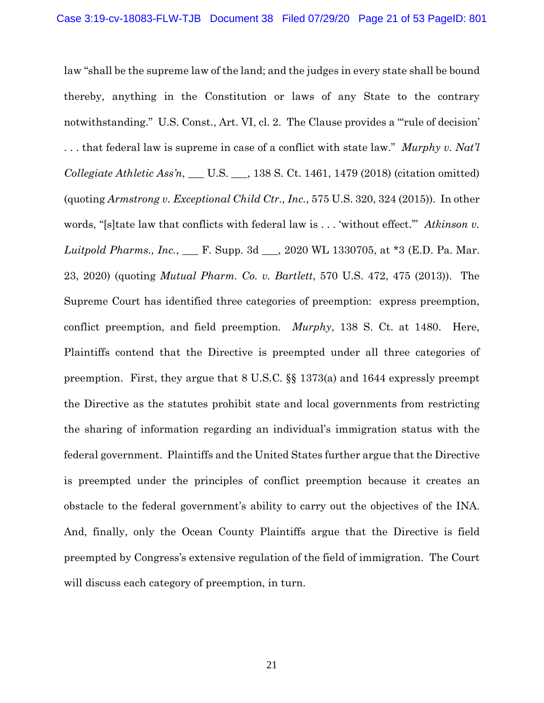law "shall be the supreme law of the land; and the judges in every state shall be bound thereby, anything in the Constitution or laws of any State to the contrary notwithstanding." U.S. Const., Art. VI, cl. 2. The Clause provides a "rule of decision" . . . that federal law is supreme in case of a conflict with state law." *Murphy v. Nat'l Collegiate Athletic Ass'n*, \_\_\_ U.S. \_\_\_, 138 S. Ct. 1461, 1479 (2018) (citation omitted) (quoting *Armstrong v. Exceptional Child Ctr., Inc.*, 575 U.S. 320, 324 (2015)). In other words, "[s]tate law that conflicts with federal law is . . . 'without effect.'" *Atkinson v. Luitpold Pharms., Inc.*, \_\_\_ F. Supp. 3d \_\_\_, 2020 WL 1330705, at \*3 (E.D. Pa. Mar. 23, 2020) (quoting *Mutual Pharm. Co. v. Bartlett*, 570 U.S. 472, 475 (2013)). The Supreme Court has identified three categories of preemption: express preemption, conflict preemption, and field preemption. *Murphy*, 138 S. Ct. at 1480. Here, Plaintiffs contend that the Directive is preempted under all three categories of preemption. First, they argue that 8 U.S.C. §§ 1373(a) and 1644 expressly preempt the Directive as the statutes prohibit state and local governments from restricting the sharing of information regarding an individual's immigration status with the federal government. Plaintiffs and the United States further argue that the Directive is preempted under the principles of conflict preemption because it creates an obstacle to the federal government's ability to carry out the objectives of the INA. And, finally, only the Ocean County Plaintiffs argue that the Directive is field preempted by Congress's extensive regulation of the field of immigration. The Court will discuss each category of preemption, in turn.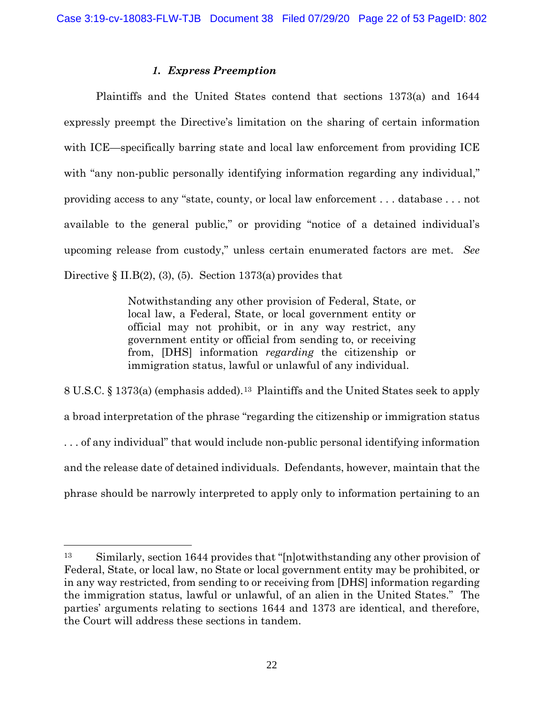## *1. Express Preemption*

Plaintiffs and the United States contend that sections 1373(a) and 1644 expressly preempt the Directive's limitation on the sharing of certain information with ICE—specifically barring state and local law enforcement from providing ICE with "any non-public personally identifying information regarding any individual," providing access to any "state, county, or local law enforcement . . . database . . . not available to the general public," or providing "notice of a detained individual's upcoming release from custody," unless certain enumerated factors are met. *See* Directive  $\S$  II.B(2), (3), (5). Section 1373(a) provides that

> Notwithstanding any other provision of Federal, State, or local law, a Federal, State, or local government entity or official may not prohibit, or in any way restrict, any government entity or official from sending to, or receiving from, [DHS] information *regarding* the citizenship or immigration status, lawful or unlawful of any individual.

8 U.S.C. § 1373(a) (emphasis added).13 Plaintiffs and the United States seek to apply a broad interpretation of the phrase "regarding the citizenship or immigration status . . . of any individual" that would include non-public personal identifying information and the release date of detained individuals. Defendants, however, maintain that the phrase should be narrowly interpreted to apply only to information pertaining to an

<sup>13</sup> Similarly, section 1644 provides that "[n]otwithstanding any other provision of Federal, State, or local law, no State or local government entity may be prohibited, or in any way restricted, from sending to or receiving from [DHS] information regarding the immigration status, lawful or unlawful, of an alien in the United States." The parties' arguments relating to sections 1644 and 1373 are identical, and therefore, the Court will address these sections in tandem.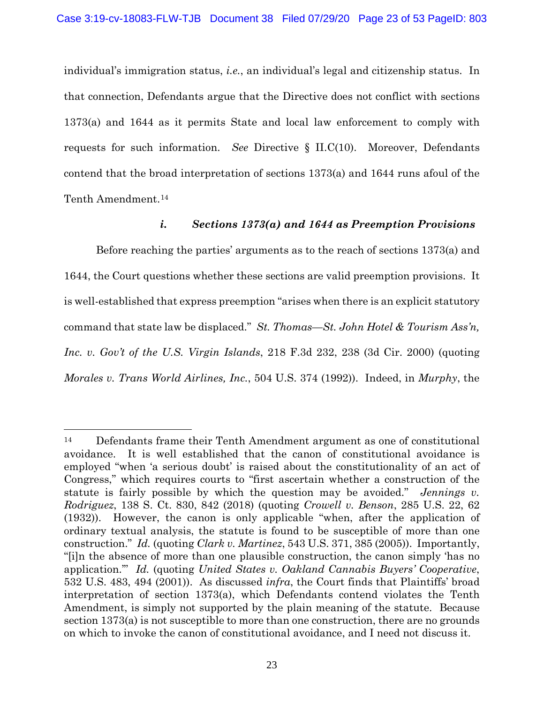individual's immigration status, *i.e.*, an individual's legal and citizenship status. In that connection, Defendants argue that the Directive does not conflict with sections 1373(a) and 1644 as it permits State and local law enforcement to comply with requests for such information. *See* Directive § II.C(10). Moreover, Defendants contend that the broad interpretation of sections 1373(a) and 1644 runs afoul of the Tenth Amendment.14

# *i. Sections 1373(a) and 1644 as Preemption Provisions*

Before reaching the parties' arguments as to the reach of sections 1373(a) and 1644, the Court questions whether these sections are valid preemption provisions. It is well-established that express preemption "arises when there is an explicit statutory command that state law be displaced." *St. Thomas—St. John Hotel & Tourism Ass'n, Inc. v. Gov't of the U.S. Virgin Islands*, 218 F.3d 232, 238 (3d Cir. 2000) (quoting *Morales v. Trans World Airlines, Inc.*, 504 U.S. 374 (1992)). Indeed, in *Murphy*, the

<sup>14</sup> Defendants frame their Tenth Amendment argument as one of constitutional avoidance. It is well established that the canon of constitutional avoidance is employed "when 'a serious doubt' is raised about the constitutionality of an act of Congress," which requires courts to "first ascertain whether a construction of the statute is fairly possible by which the question may be avoided." *Jennings v. Rodriguez*, 138 S. Ct. 830, 842 (2018) (quoting *Crowell v. Benson*, 285 U.S. 22, 62 (1932)). However, the canon is only applicable "when, after the application of ordinary textual analysis, the statute is found to be susceptible of more than one construction." *Id.* (quoting *Clark v. Martinez*, 543 U.S. 371, 385 (2005)). Importantly, "[i]n the absence of more than one plausible construction, the canon simply 'has no application.'" *Id.* (quoting *United States v. Oakland Cannabis Buyers' Cooperative*, 532 U.S. 483, 494 (2001)). As discussed *infra*, the Court finds that Plaintiffs' broad interpretation of section 1373(a), which Defendants contend violates the Tenth Amendment, is simply not supported by the plain meaning of the statute. Because section 1373(a) is not susceptible to more than one construction, there are no grounds on which to invoke the canon of constitutional avoidance, and I need not discuss it.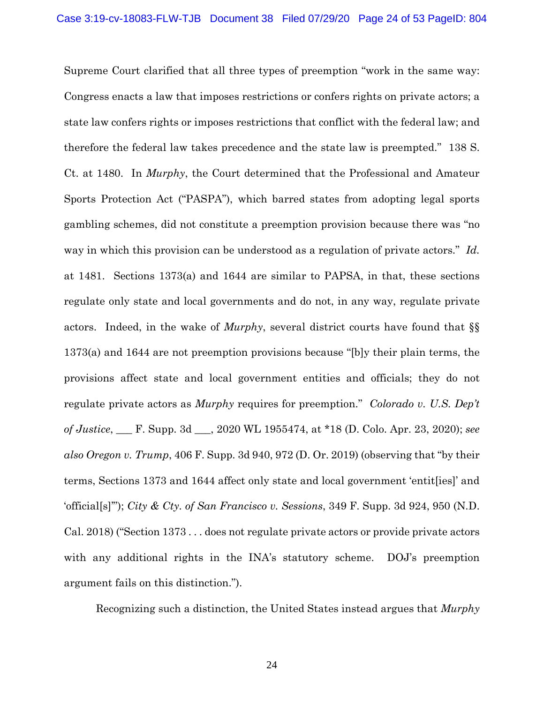Supreme Court clarified that all three types of preemption "work in the same way: Congress enacts a law that imposes restrictions or confers rights on private actors; a state law confers rights or imposes restrictions that conflict with the federal law; and therefore the federal law takes precedence and the state law is preempted." 138 S. Ct. at 1480. In *Murphy*, the Court determined that the Professional and Amateur Sports Protection Act ("PASPA"), which barred states from adopting legal sports gambling schemes, did not constitute a preemption provision because there was "no way in which this provision can be understood as a regulation of private actors." *Id.* at 1481. Sections 1373(a) and 1644 are similar to PAPSA, in that, these sections regulate only state and local governments and do not, in any way, regulate private actors. Indeed, in the wake of *Murphy*, several district courts have found that §§ 1373(a) and 1644 are not preemption provisions because "[b]y their plain terms, the provisions affect state and local government entities and officials; they do not regulate private actors as *Murphy* requires for preemption." *Colorado v. U.S. Dep't of Justice*, \_\_\_ F. Supp. 3d \_\_\_, 2020 WL 1955474, at \*18 (D. Colo. Apr. 23, 2020); *see also Oregon v. Trump*, 406 F. Supp. 3d 940, 972 (D. Or. 2019) (observing that "by their terms, Sections 1373 and 1644 affect only state and local government 'entit[ies]' and 'official[s]'"); *City & Cty. of San Francisco v. Sessions*, 349 F. Supp. 3d 924, 950 (N.D. Cal. 2018) ("Section 1373 . . . does not regulate private actors or provide private actors with any additional rights in the INA's statutory scheme. DOJ's preemption argument fails on this distinction.").

Recognizing such a distinction, the United States instead argues that *Murphy*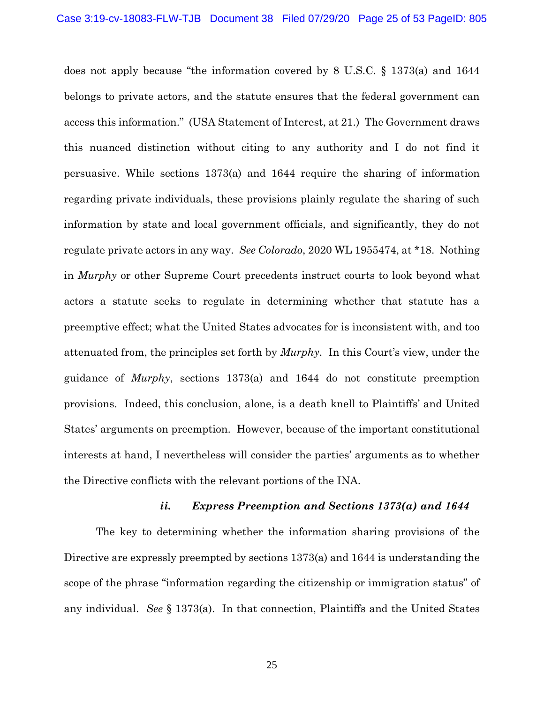does not apply because "the information covered by 8 U.S.C. § 1373(a) and 1644 belongs to private actors, and the statute ensures that the federal government can access this information." (USA Statement of Interest, at 21.) The Government draws this nuanced distinction without citing to any authority and I do not find it persuasive. While sections 1373(a) and 1644 require the sharing of information regarding private individuals, these provisions plainly regulate the sharing of such information by state and local government officials, and significantly, they do not regulate private actors in any way. *See Colorado*, 2020 WL 1955474, at \*18. Nothing in *Murphy* or other Supreme Court precedents instruct courts to look beyond what actors a statute seeks to regulate in determining whether that statute has a preemptive effect; what the United States advocates for is inconsistent with, and too attenuated from, the principles set forth by *Murphy*. In this Court's view, under the guidance of *Murphy*, sections 1373(a) and 1644 do not constitute preemption provisions. Indeed, this conclusion, alone, is a death knell to Plaintiffs' and United States' arguments on preemption. However, because of the important constitutional interests at hand, I nevertheless will consider the parties' arguments as to whether the Directive conflicts with the relevant portions of the INA.

## *ii. Express Preemption and Sections 1373(a) and 1644*

The key to determining whether the information sharing provisions of the Directive are expressly preempted by sections 1373(a) and 1644 is understanding the scope of the phrase "information regarding the citizenship or immigration status" of any individual. *See* § 1373(a). In that connection, Plaintiffs and the United States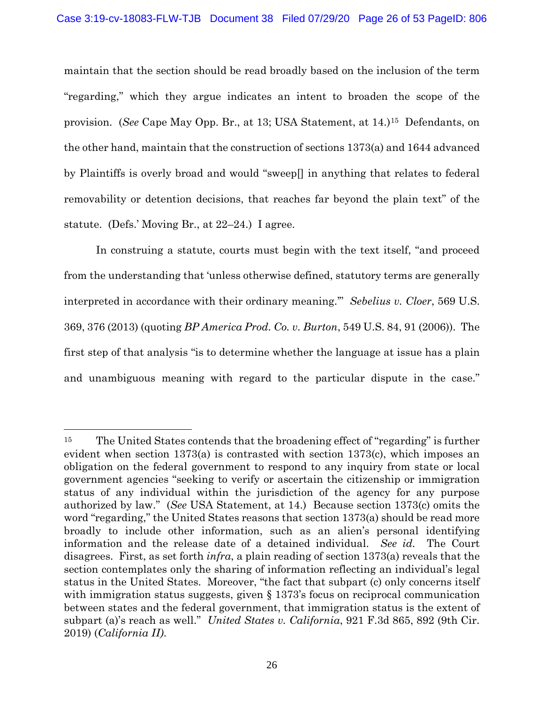maintain that the section should be read broadly based on the inclusion of the term "regarding," which they argue indicates an intent to broaden the scope of the provision. (*See* Cape May Opp. Br., at 13; USA Statement, at 14.)15 Defendants, on the other hand, maintain that the construction of sections 1373(a) and 1644 advanced by Plaintiffs is overly broad and would "sweep[] in anything that relates to federal removability or detention decisions, that reaches far beyond the plain text" of the statute. (Defs.' Moving Br., at 22–24.) I agree.

In construing a statute, courts must begin with the text itself, "and proceed from the understanding that 'unless otherwise defined, statutory terms are generally interpreted in accordance with their ordinary meaning.'" *Sebelius v. Cloer*, 569 U.S. 369, 376 (2013) (quoting *BP America Prod. Co. v. Burton*, 549 U.S. 84, 91 (2006)). The first step of that analysis "is to determine whether the language at issue has a plain and unambiguous meaning with regard to the particular dispute in the case."

<sup>15</sup> The United States contends that the broadening effect of "regarding" is further evident when section 1373(a) is contrasted with section 1373(c), which imposes an obligation on the federal government to respond to any inquiry from state or local government agencies "seeking to verify or ascertain the citizenship or immigration status of any individual within the jurisdiction of the agency for any purpose authorized by law." (*See* USA Statement, at 14.) Because section 1373(c) omits the word "regarding," the United States reasons that section 1373(a) should be read more broadly to include other information, such as an alien's personal identifying information and the release date of a detained individual. *See id.* The Court disagrees. First, as set forth *infra*, a plain reading of section 1373(a) reveals that the section contemplates only the sharing of information reflecting an individual's legal status in the United States. Moreover, "the fact that subpart (c) only concerns itself with immigration status suggests, given  $\S 1373$ 's focus on reciprocal communication between states and the federal government, that immigration status is the extent of subpart (a)'s reach as well." *United States v. California*, 921 F.3d 865, 892 (9th Cir. 2019) (*California II)*.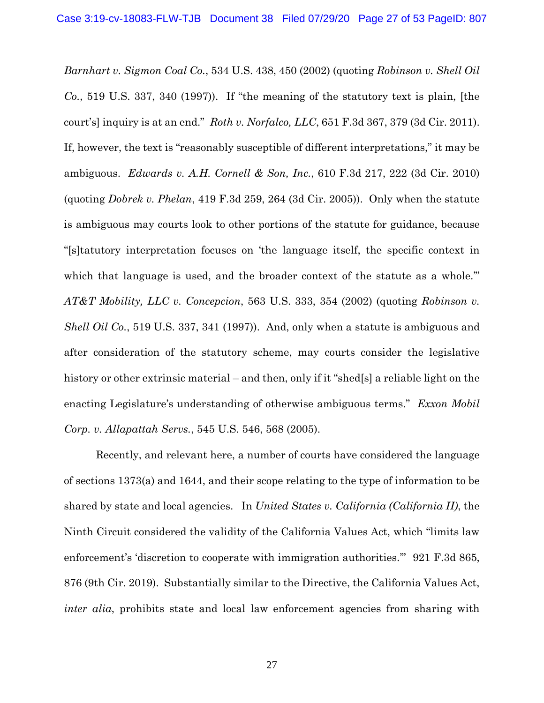*Barnhart v. Sigmon Coal Co.*, 534 U.S. 438, 450 (2002) (quoting *Robinson v. Shell Oil Co.*, 519 U.S. 337, 340 (1997)). If "the meaning of the statutory text is plain, [the court's] inquiry is at an end." *Roth v. Norfalco, LLC*, 651 F.3d 367, 379 (3d Cir. 2011). If, however, the text is "reasonably susceptible of different interpretations," it may be ambiguous. *Edwards v. A.H. Cornell & Son, Inc.*, 610 F.3d 217, 222 (3d Cir. 2010) (quoting *Dobrek v. Phelan*, 419 F.3d 259, 264 (3d Cir. 2005)). Only when the statute is ambiguous may courts look to other portions of the statute for guidance, because "[s]tatutory interpretation focuses on 'the language itself, the specific context in which that language is used, and the broader context of the statute as a whole." *AT&T Mobility, LLC v. Concepcion*, 563 U.S. 333, 354 (2002) (quoting *Robinson v. Shell Oil Co.*, 519 U.S. 337, 341 (1997)). And, only when a statute is ambiguous and after consideration of the statutory scheme, may courts consider the legislative history or other extrinsic material – and then, only if it "shed[s] a reliable light on the enacting Legislature's understanding of otherwise ambiguous terms." *Exxon Mobil Corp. v. Allapattah Servs.*, 545 U.S. 546, 568 (2005).

Recently, and relevant here, a number of courts have considered the language of sections 1373(a) and 1644, and their scope relating to the type of information to be shared by state and local agencies. In *United States v. California (California II)*, the Ninth Circuit considered the validity of the California Values Act, which "limits law enforcement's 'discretion to cooperate with immigration authorities.'" 921 F.3d 865, 876 (9th Cir. 2019). Substantially similar to the Directive, the California Values Act, *inter alia*, prohibits state and local law enforcement agencies from sharing with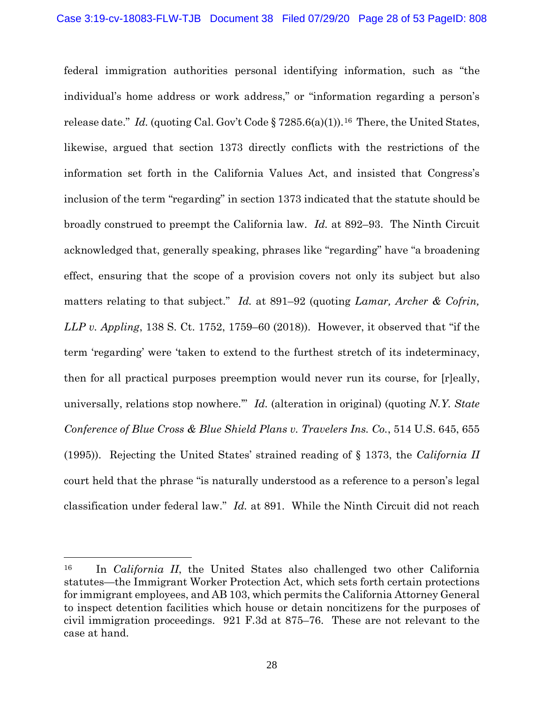federal immigration authorities personal identifying information, such as "the individual's home address or work address," or "information regarding a person's release date." *Id.* (quoting Cal. Gov't Code § 7285.6(a)(1)).<sup>16</sup> There, the United States, likewise, argued that section 1373 directly conflicts with the restrictions of the information set forth in the California Values Act, and insisted that Congress's inclusion of the term "regarding" in section 1373 indicated that the statute should be broadly construed to preempt the California law. *Id.* at 892–93. The Ninth Circuit acknowledged that, generally speaking, phrases like "regarding" have "a broadening effect, ensuring that the scope of a provision covers not only its subject but also matters relating to that subject." *Id.* at 891–92 (quoting *Lamar, Archer & Cofrin, LLP v. Appling*, 138 S. Ct. 1752, 1759–60 (2018)). However, it observed that "if the term 'regarding' were 'taken to extend to the furthest stretch of its indeterminacy, then for all practical purposes preemption would never run its course, for [r]eally, universally, relations stop nowhere.'" *Id.* (alteration in original) (quoting *N.Y. State Conference of Blue Cross & Blue Shield Plans v. Travelers Ins. Co.*, 514 U.S. 645, 655 (1995)). Rejecting the United States' strained reading of § 1373, the *California II* court held that the phrase "is naturally understood as a reference to a person's legal classification under federal law." *Id.* at 891. While the Ninth Circuit did not reach

<sup>16</sup> In *California II*, the United States also challenged two other California statutes—the Immigrant Worker Protection Act, which sets forth certain protections for immigrant employees, and AB 103, which permits the California Attorney General to inspect detention facilities which house or detain noncitizens for the purposes of civil immigration proceedings. 921 F.3d at 875–76. These are not relevant to the case at hand.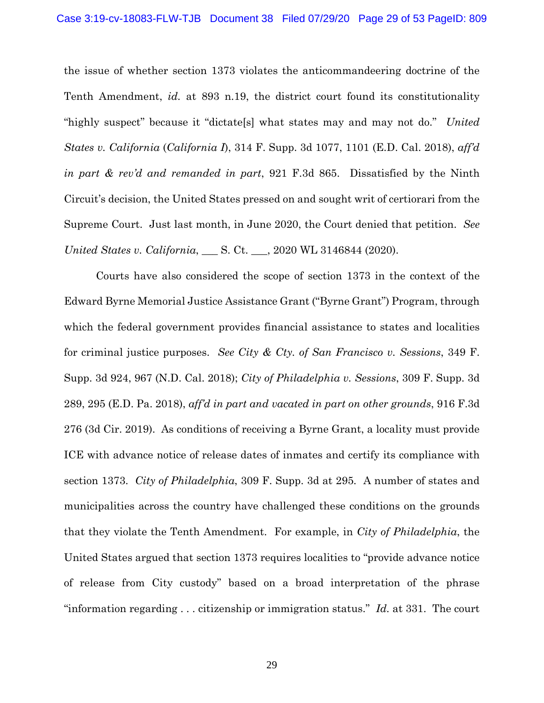the issue of whether section 1373 violates the anticommandeering doctrine of the Tenth Amendment, *id.* at 893 n.19, the district court found its constitutionality "highly suspect" because it "dictate[s] what states may and may not do." *United States v. California* (*California I*), 314 F. Supp. 3d 1077, 1101 (E.D. Cal. 2018), *aff'd in part & rev'd and remanded in part*, 921 F.3d 865. Dissatisfied by the Ninth Circuit's decision, the United States pressed on and sought writ of certiorari from the Supreme Court. Just last month, in June 2020, the Court denied that petition. *See United States v. California*, \_\_\_ S. Ct. \_\_\_, 2020 WL 3146844 (2020).

Courts have also considered the scope of section 1373 in the context of the Edward Byrne Memorial Justice Assistance Grant ("Byrne Grant") Program, through which the federal government provides financial assistance to states and localities for criminal justice purposes. *See City & Cty. of San Francisco v. Sessions*, 349 F. Supp. 3d 924, 967 (N.D. Cal. 2018); *City of Philadelphia v. Sessions*, 309 F. Supp. 3d 289, 295 (E.D. Pa. 2018), *aff'd in part and vacated in part on other grounds*, 916 F.3d 276 (3d Cir. 2019). As conditions of receiving a Byrne Grant, a locality must provide ICE with advance notice of release dates of inmates and certify its compliance with section 1373. *City of Philadelphia*, 309 F. Supp. 3d at 295*.* A number of states and municipalities across the country have challenged these conditions on the grounds that they violate the Tenth Amendment. For example, in *City of Philadelphia*, the United States argued that section 1373 requires localities to "provide advance notice of release from City custody" based on a broad interpretation of the phrase "information regarding . . . citizenship or immigration status." *Id.* at 331. The court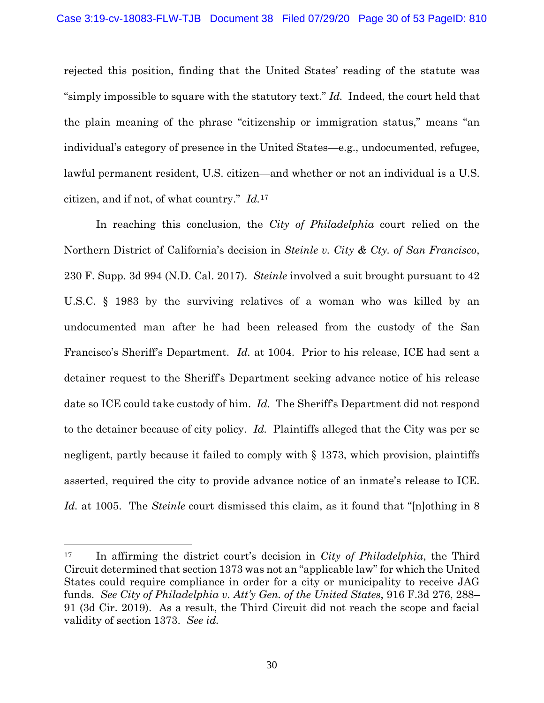rejected this position, finding that the United States' reading of the statute was "simply impossible to square with the statutory text." *Id.* Indeed, the court held that the plain meaning of the phrase "citizenship or immigration status," means "an individual's category of presence in the United States—e.g., undocumented, refugee, lawful permanent resident, U.S. citizen—and whether or not an individual is a U.S. citizen, and if not, of what country." *Id.*17

In reaching this conclusion, the *City of Philadelphia* court relied on the Northern District of California's decision in *Steinle v. City & Cty. of San Francisco*, 230 F. Supp. 3d 994 (N.D. Cal. 2017). *Steinle* involved a suit brought pursuant to 42 U.S.C. § 1983 by the surviving relatives of a woman who was killed by an undocumented man after he had been released from the custody of the San Francisco's Sheriff's Department. *Id.* at 1004. Prior to his release, ICE had sent a detainer request to the Sheriff's Department seeking advance notice of his release date so ICE could take custody of him. *Id.* The Sheriff's Department did not respond to the detainer because of city policy. *Id.* Plaintiffs alleged that the City was per se negligent, partly because it failed to comply with § 1373, which provision, plaintiffs asserted, required the city to provide advance notice of an inmate's release to ICE. *Id.* at 1005. The *Steinle* court dismissed this claim, as it found that "[n]othing in 8

<sup>17</sup> In affirming the district court's decision in *City of Philadelphia*, the Third Circuit determined that section 1373 was not an "applicable law" for which the United States could require compliance in order for a city or municipality to receive JAG funds. *See City of Philadelphia v. Att'y Gen. of the United States*, 916 F.3d 276, 288– 91 (3d Cir. 2019). As a result, the Third Circuit did not reach the scope and facial validity of section 1373. *See id.*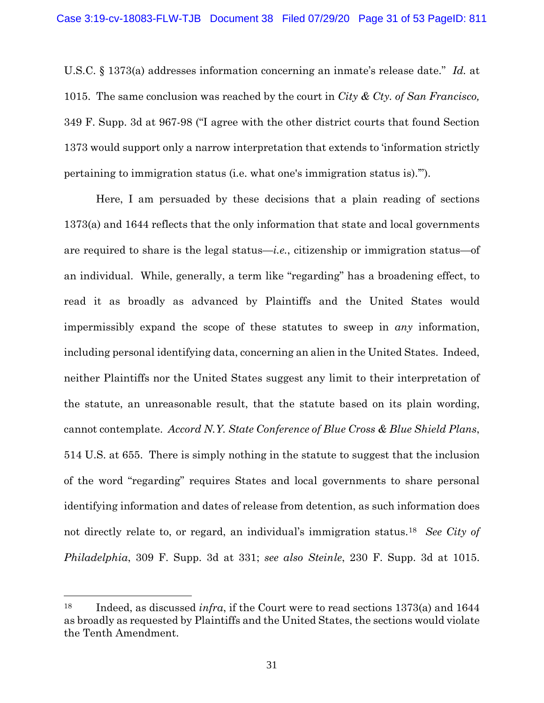U.S.C. § 1373(a) addresses information concerning an inmate's release date." *Id.* at 1015. The same conclusion was reached by the court in *City & Cty. of San Francisco,*  349 F. Supp. 3d at 967-98 ("I agree with the other district courts that found Section 1373 would support only a narrow interpretation that extends to 'information strictly pertaining to immigration status (i.e. what one's immigration status is).'").

Here, I am persuaded by these decisions that a plain reading of sections 1373(a) and 1644 reflects that the only information that state and local governments are required to share is the legal status—*i.e.*, citizenship or immigration status—of an individual. While, generally, a term like "regarding" has a broadening effect, to read it as broadly as advanced by Plaintiffs and the United States would impermissibly expand the scope of these statutes to sweep in *any* information, including personal identifying data, concerning an alien in the United States. Indeed, neither Plaintiffs nor the United States suggest any limit to their interpretation of the statute, an unreasonable result, that the statute based on its plain wording, cannot contemplate. *Accord N.Y. State Conference of Blue Cross & Blue Shield Plans*, 514 U.S. at 655. There is simply nothing in the statute to suggest that the inclusion of the word "regarding" requires States and local governments to share personal identifying information and dates of release from detention, as such information does not directly relate to, or regard, an individual's immigration status.18 *See City of Philadelphia*, 309 F. Supp. 3d at 331; *see also Steinle*, 230 F. Supp. 3d at 1015.

<sup>18</sup> Indeed, as discussed *infra*, if the Court were to read sections 1373(a) and 1644 as broadly as requested by Plaintiffs and the United States, the sections would violate the Tenth Amendment.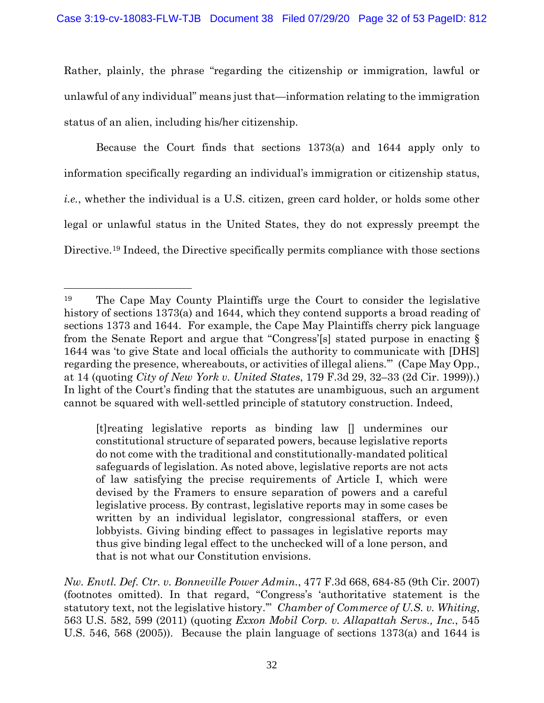Rather, plainly, the phrase "regarding the citizenship or immigration, lawful or unlawful of any individual" means just that—information relating to the immigration status of an alien, including his/her citizenship.

Because the Court finds that sections 1373(a) and 1644 apply only to information specifically regarding an individual's immigration or citizenship status, *i.e.*, whether the individual is a U.S. citizen, green card holder, or holds some other legal or unlawful status in the United States, they do not expressly preempt the Directive.19 Indeed, the Directive specifically permits compliance with those sections

[t]reating legislative reports as binding law [] undermines our constitutional structure of separated powers, because legislative reports do not come with the traditional and constitutionally-mandated political safeguards of legislation. As noted above, legislative reports are not acts of law satisfying the precise requirements of Article I, which were devised by the Framers to ensure separation of powers and a careful legislative process. By contrast, legislative reports may in some cases be written by an individual legislator, congressional staffers, or even lobbyists. Giving binding effect to passages in legislative reports may thus give binding legal effect to the unchecked will of a lone person, and that is not what our Constitution envisions.

*Nw. Envtl. Def. Ctr. v. Bonneville Power Admin.*, 477 F.3d 668, 684-85 (9th Cir. 2007) (footnotes omitted). In that regard, "Congress's 'authoritative statement is the statutory text, not the legislative history.'" *Chamber of Commerce of U.S. v. Whiting*, 563 U.S. 582, 599 (2011) (quoting *Exxon Mobil Corp. v. Allapattah Servs., Inc.*, 545 U.S. 546, 568 (2005)). Because the plain language of sections 1373(a) and 1644 is

<sup>19</sup> The Cape May County Plaintiffs urge the Court to consider the legislative history of sections 1373(a) and 1644, which they contend supports a broad reading of sections 1373 and 1644. For example, the Cape May Plaintiffs cherry pick language from the Senate Report and argue that "Congress'[s] stated purpose in enacting § 1644 was 'to give State and local officials the authority to communicate with [DHS] regarding the presence, whereabouts, or activities of illegal aliens.'" (Cape May Opp., at 14 (quoting *City of New York v. United States*, 179 F.3d 29, 32–33 (2d Cir. 1999)).) In light of the Court's finding that the statutes are unambiguous, such an argument cannot be squared with well-settled principle of statutory construction. Indeed,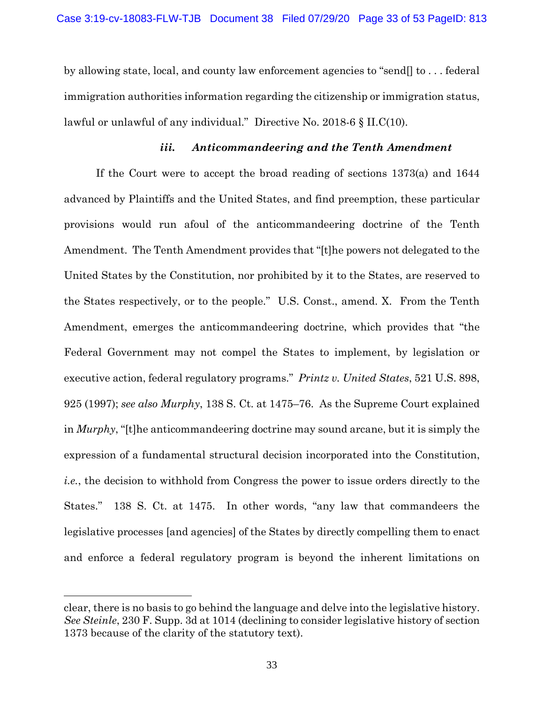by allowing state, local, and county law enforcement agencies to "send[] to . . . federal immigration authorities information regarding the citizenship or immigration status, lawful or unlawful of any individual." Directive No. 2018-6 § II.C(10).

### *iii. Anticommandeering and the Tenth Amendment*

If the Court were to accept the broad reading of sections 1373(a) and 1644 advanced by Plaintiffs and the United States, and find preemption, these particular provisions would run afoul of the anticommandeering doctrine of the Tenth Amendment. The Tenth Amendment provides that "[t]he powers not delegated to the United States by the Constitution, nor prohibited by it to the States, are reserved to the States respectively, or to the people." U.S. Const., amend. X. From the Tenth Amendment, emerges the anticommandeering doctrine, which provides that "the Federal Government may not compel the States to implement, by legislation or executive action, federal regulatory programs." *Printz v. United States*, 521 U.S. 898, 925 (1997); *see also Murphy*, 138 S. Ct. at 1475–76. As the Supreme Court explained in *Murphy*, "[t]he anticommandeering doctrine may sound arcane, but it is simply the expression of a fundamental structural decision incorporated into the Constitution, *i.e.*, the decision to withhold from Congress the power to issue orders directly to the States." 138 S. Ct. at 1475. In other words, "any law that commandeers the legislative processes [and agencies] of the States by directly compelling them to enact and enforce a federal regulatory program is beyond the inherent limitations on

clear, there is no basis to go behind the language and delve into the legislative history. *See Steinle*, 230 F. Supp. 3d at 1014 (declining to consider legislative history of section 1373 because of the clarity of the statutory text).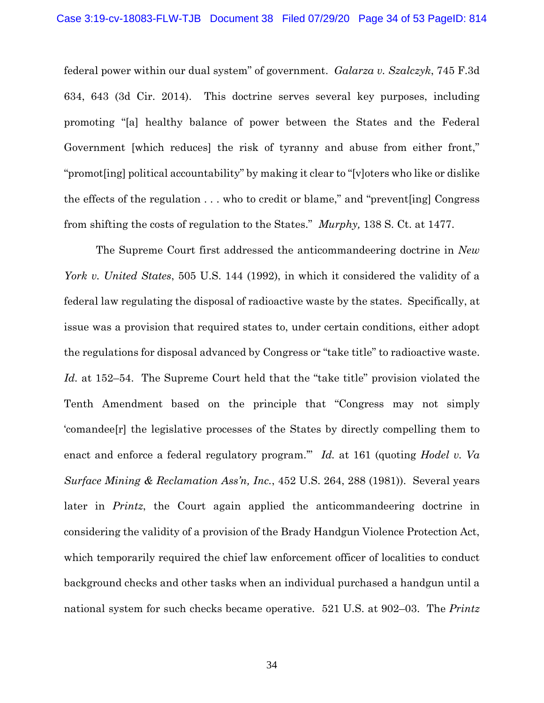federal power within our dual system" of government. *Galarza v. Szalczyk*, 745 F.3d 634, 643 (3d Cir. 2014). This doctrine serves several key purposes, including promoting "[a] healthy balance of power between the States and the Federal Government [which reduces] the risk of tyranny and abuse from either front," "promot[ing] political accountability" by making it clear to "[v]oters who like or dislike the effects of the regulation . . . who to credit or blame," and "prevent[ing] Congress from shifting the costs of regulation to the States." *Murphy,* 138 S. Ct. at 1477.

The Supreme Court first addressed the anticommandeering doctrine in *New York v. United States*, 505 U.S. 144 (1992), in which it considered the validity of a federal law regulating the disposal of radioactive waste by the states. Specifically, at issue was a provision that required states to, under certain conditions, either adopt the regulations for disposal advanced by Congress or "take title" to radioactive waste. *Id.* at 152–54. The Supreme Court held that the "take title" provision violated the Tenth Amendment based on the principle that "Congress may not simply 'comandee[r] the legislative processes of the States by directly compelling them to enact and enforce a federal regulatory program.'" *Id.* at 161 (quoting *Hodel v. Va Surface Mining & Reclamation Ass'n, Inc.*, 452 U.S. 264, 288 (1981)). Several years later in *Printz*, the Court again applied the anticommandeering doctrine in considering the validity of a provision of the Brady Handgun Violence Protection Act, which temporarily required the chief law enforcement officer of localities to conduct background checks and other tasks when an individual purchased a handgun until a national system for such checks became operative. 521 U.S. at 902–03. The *Printz*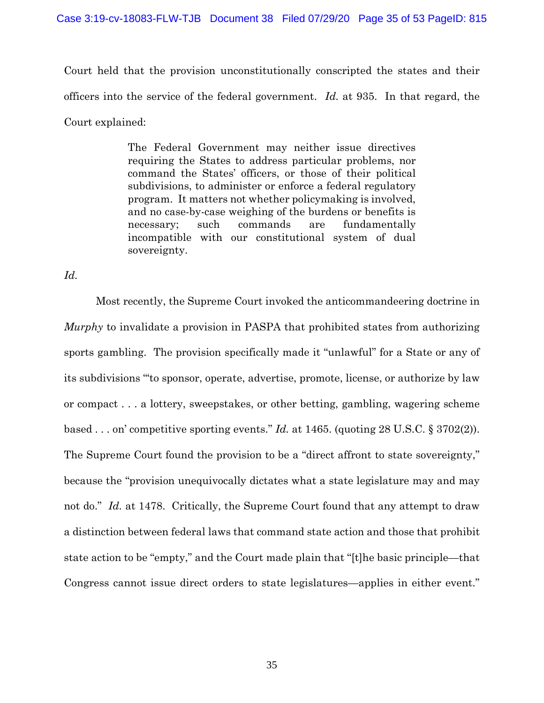### Case 3:19-cv-18083-FLW-TJB Document 38 Filed 07/29/20 Page 35 of 53 PageID: 815

Court held that the provision unconstitutionally conscripted the states and their officers into the service of the federal government. *Id.* at 935. In that regard, the Court explained:

> The Federal Government may neither issue directives requiring the States to address particular problems, nor command the States' officers, or those of their political subdivisions, to administer or enforce a federal regulatory program. It matters not whether policymaking is involved, and no case-by-case weighing of the burdens or benefits is necessary; such commands are fundamentally incompatible with our constitutional system of dual sovereignty.

*Id.*

Most recently, the Supreme Court invoked the anticommandeering doctrine in *Murphy* to invalidate a provision in PASPA that prohibited states from authorizing sports gambling. The provision specifically made it "unlawful" for a State or any of its subdivisions "'to sponsor, operate, advertise, promote, license, or authorize by law or compact . . . a lottery, sweepstakes, or other betting, gambling, wagering scheme based . . . on' competitive sporting events." *Id.* at 1465. (quoting 28 U.S.C. § 3702(2)). The Supreme Court found the provision to be a "direct affront to state sovereignty," because the "provision unequivocally dictates what a state legislature may and may not do." *Id.* at 1478. Critically, the Supreme Court found that any attempt to draw a distinction between federal laws that command state action and those that prohibit state action to be "empty," and the Court made plain that "[t]he basic principle—that Congress cannot issue direct orders to state legislatures—applies in either event."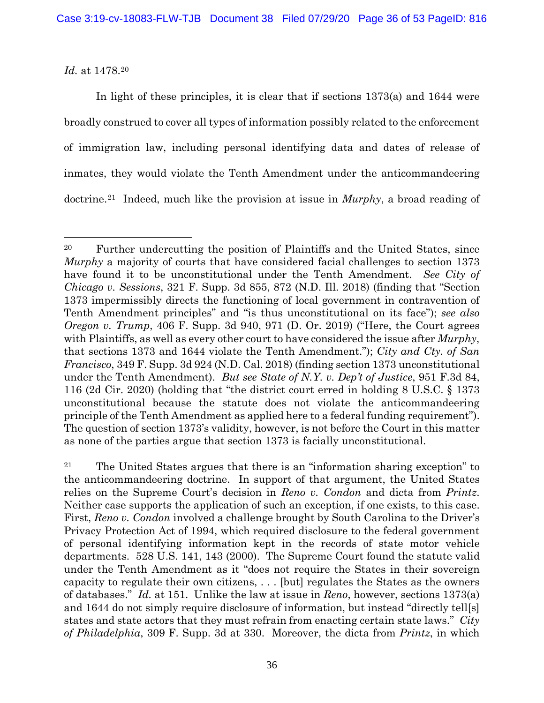*Id.* at 1478.20

In light of these principles, it is clear that if sections 1373(a) and 1644 were broadly construed to cover all types of information possibly related to the enforcement of immigration law, including personal identifying data and dates of release of inmates, they would violate the Tenth Amendment under the anticommandeering doctrine.21 Indeed, much like the provision at issue in *Murphy*, a broad reading of

<sup>20</sup> Further undercutting the position of Plaintiffs and the United States, since *Murphy* a majority of courts that have considered facial challenges to section 1373 have found it to be unconstitutional under the Tenth Amendment. *See City of Chicago v. Sessions*, 321 F. Supp. 3d 855, 872 (N.D. Ill. 2018) (finding that "Section 1373 impermissibly directs the functioning of local government in contravention of Tenth Amendment principles" and "is thus unconstitutional on its face"); *see also Oregon v. Trump*, 406 F. Supp. 3d 940, 971 (D. Or. 2019) ("Here, the Court agrees with Plaintiffs, as well as every other court to have considered the issue after *Murphy*, that sections 1373 and 1644 violate the Tenth Amendment."); *City and Cty. of San Francisco*, 349 F. Supp. 3d 924 (N.D. Cal. 2018) (finding section 1373 unconstitutional under the Tenth Amendment). *But see State of N.Y. v. Dep't of Justice*, 951 F.3d 84, 116 (2d Cir. 2020) (holding that "the district court erred in holding 8 U.S.C. § 1373 unconstitutional because the statute does not violate the anticommandeering principle of the Tenth Amendment as applied here to a federal funding requirement"). The question of section 1373's validity, however, is not before the Court in this matter as none of the parties argue that section 1373 is facially unconstitutional.

<sup>21</sup> The United States argues that there is an "information sharing exception" to the anticommandeering doctrine. In support of that argument, the United States relies on the Supreme Court's decision in *Reno v. Condon* and dicta from *Printz*. Neither case supports the application of such an exception, if one exists, to this case. First, *Reno v. Condon* involved a challenge brought by South Carolina to the Driver's Privacy Protection Act of 1994, which required disclosure to the federal government of personal identifying information kept in the records of state motor vehicle departments. 528 U.S. 141, 143 (2000). The Supreme Court found the statute valid under the Tenth Amendment as it "does not require the States in their sovereign capacity to regulate their own citizens, . . . [but] regulates the States as the owners of databases." *Id.* at 151. Unlike the law at issue in *Reno*, however, sections 1373(a) and 1644 do not simply require disclosure of information, but instead "directly tell[s] states and state actors that they must refrain from enacting certain state laws." *City of Philadelphia*, 309 F. Supp. 3d at 330. Moreover, the dicta from *Printz*, in which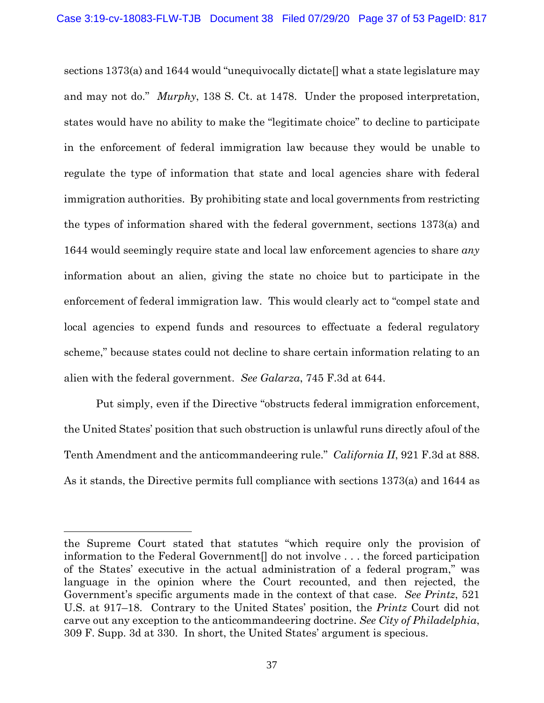sections 1373(a) and 1644 would "unequivocally dictate<sup>[]</sup> what a state legislature may and may not do." *Murphy*, 138 S. Ct. at 1478. Under the proposed interpretation, states would have no ability to make the "legitimate choice" to decline to participate in the enforcement of federal immigration law because they would be unable to regulate the type of information that state and local agencies share with federal immigration authorities. By prohibiting state and local governments from restricting the types of information shared with the federal government, sections 1373(a) and 1644 would seemingly require state and local law enforcement agencies to share *any* information about an alien, giving the state no choice but to participate in the enforcement of federal immigration law. This would clearly act to "compel state and local agencies to expend funds and resources to effectuate a federal regulatory scheme," because states could not decline to share certain information relating to an alien with the federal government. *See Galarza*, 745 F.3d at 644.

Put simply, even if the Directive "obstructs federal immigration enforcement, the United States' position that such obstruction is unlawful runs directly afoul of the Tenth Amendment and the anticommandeering rule." *California II*, 921 F.3d at 888. As it stands, the Directive permits full compliance with sections 1373(a) and 1644 as

the Supreme Court stated that statutes "which require only the provision of information to the Federal Government<sup>[]</sup> do not involve . . . the forced participation of the States' executive in the actual administration of a federal program," was language in the opinion where the Court recounted, and then rejected, the Government's specific arguments made in the context of that case. *See Printz*, 521 U.S. at 917–18. Contrary to the United States' position, the *Printz* Court did not carve out any exception to the anticommandeering doctrine. *See City of Philadelphia*, 309 F. Supp. 3d at 330. In short, the United States' argument is specious.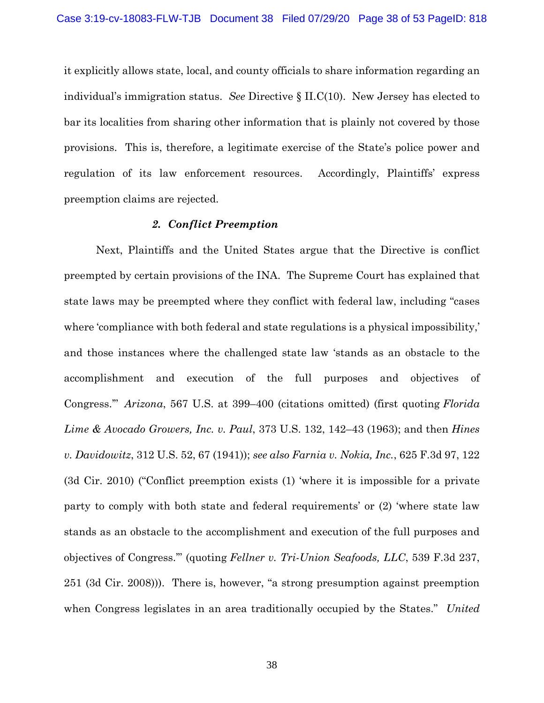it explicitly allows state, local, and county officials to share information regarding an individual's immigration status. *See* Directive § II.C(10). New Jersey has elected to bar its localities from sharing other information that is plainly not covered by those provisions. This is, therefore, a legitimate exercise of the State's police power and regulation of its law enforcement resources. Accordingly, Plaintiffs' express preemption claims are rejected.

### *2. Conflict Preemption*

Next, Plaintiffs and the United States argue that the Directive is conflict preempted by certain provisions of the INA. The Supreme Court has explained that state laws may be preempted where they conflict with federal law, including "cases where 'compliance with both federal and state regulations is a physical impossibility,' and those instances where the challenged state law 'stands as an obstacle to the accomplishment and execution of the full purposes and objectives of Congress.'" *Arizona*, 567 U.S. at 399–400 (citations omitted) (first quoting *Florida Lime & Avocado Growers, Inc. v. Paul*, 373 U.S. 132, 142–43 (1963); and then *Hines v. Davidowitz*, 312 U.S. 52, 67 (1941)); *see also Farnia v. Nokia, Inc.*, 625 F.3d 97, 122 (3d Cir. 2010) ("Conflict preemption exists (1) 'where it is impossible for a private party to comply with both state and federal requirements' or (2) 'where state law stands as an obstacle to the accomplishment and execution of the full purposes and objectives of Congress.'" (quoting *Fellner v. Tri-Union Seafoods, LLC*, 539 F.3d 237, 251 (3d Cir. 2008))). There is, however, "a strong presumption against preemption when Congress legislates in an area traditionally occupied by the States." *United*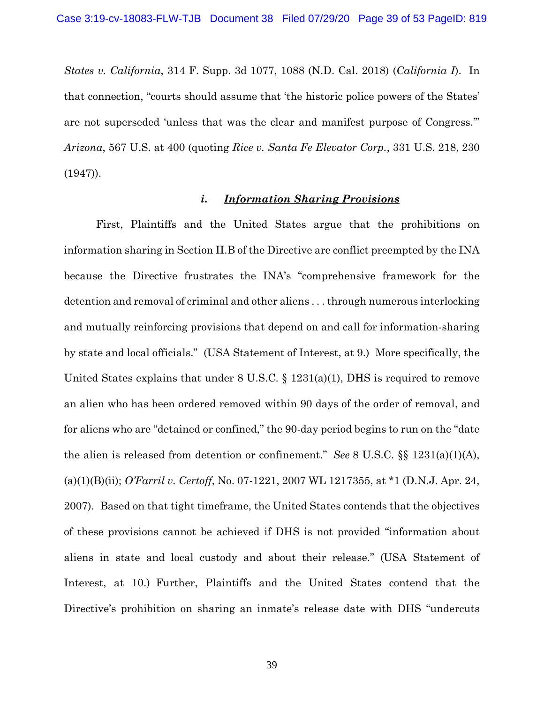*States v. California*, 314 F. Supp. 3d 1077, 1088 (N.D. Cal. 2018) (*California I*). In that connection, "courts should assume that 'the historic police powers of the States' are not superseded 'unless that was the clear and manifest purpose of Congress.'" *Arizona*, 567 U.S. at 400 (quoting *Rice v. Santa Fe Elevator Corp.*, 331 U.S. 218, 230  $(1947)$ .

### *i. Information Sharing Provisions*

First, Plaintiffs and the United States argue that the prohibitions on information sharing in Section II.B of the Directive are conflict preempted by the INA because the Directive frustrates the INA's "comprehensive framework for the detention and removal of criminal and other aliens . . . through numerous interlocking and mutually reinforcing provisions that depend on and call for information-sharing by state and local officials." (USA Statement of Interest, at 9.) More specifically, the United States explains that under 8 U.S.C. § 1231(a)(1), DHS is required to remove an alien who has been ordered removed within 90 days of the order of removal, and for aliens who are "detained or confined," the 90-day period begins to run on the "date the alien is released from detention or confinement." *See* 8 U.S.C. §§ 1231(a)(1)(A), (a)(1)(B)(ii); *O'Farril v. Certoff*, No. 07-1221, 2007 WL 1217355, at \*1 (D.N.J. Apr. 24, 2007). Based on that tight timeframe, the United States contends that the objectives of these provisions cannot be achieved if DHS is not provided "information about aliens in state and local custody and about their release." (USA Statement of Interest, at 10.) Further, Plaintiffs and the United States contend that the Directive's prohibition on sharing an inmate's release date with DHS "undercuts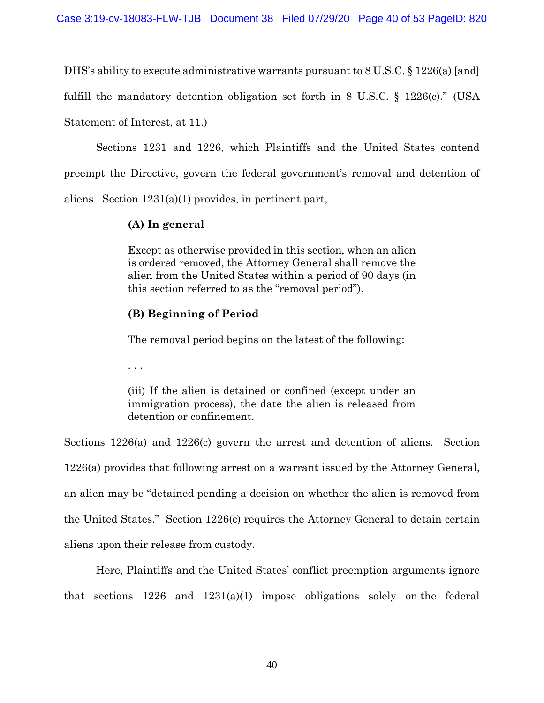DHS's ability to execute administrative warrants pursuant to 8 U.S.C. § 1226(a) [and]

fulfill the mandatory detention obligation set forth in 8 U.S.C. § 1226(c)." (USA

Statement of Interest, at 11.)

Sections 1231 and 1226, which Plaintiffs and the United States contend preempt the Directive, govern the federal government's removal and detention of aliens. Section 1231(a)(1) provides, in pertinent part,

### **(A) In general**

Except as otherwise provided in this section, when an alien is ordered removed, the Attorney General shall remove the alien from the United States within a period of 90 days (in this section referred to as the "removal period").

# **(B) Beginning of Period**

The removal period begins on the latest of the following:

. . .

(iii) If the alien is detained or confined (except under an immigration process), the date the alien is released from detention or confinement.

Sections 1226(a) and 1226(c) govern the arrest and detention of aliens. Section 1226(a) provides that following arrest on a warrant issued by the Attorney General, an alien may be "detained pending a decision on whether the alien is removed from the United States." Section 1226(c) requires the Attorney General to detain certain aliens upon their release from custody.

Here, Plaintiffs and the United States' conflict preemption arguments ignore that sections 1226 and 1231(a)(1) impose obligations solely on the federal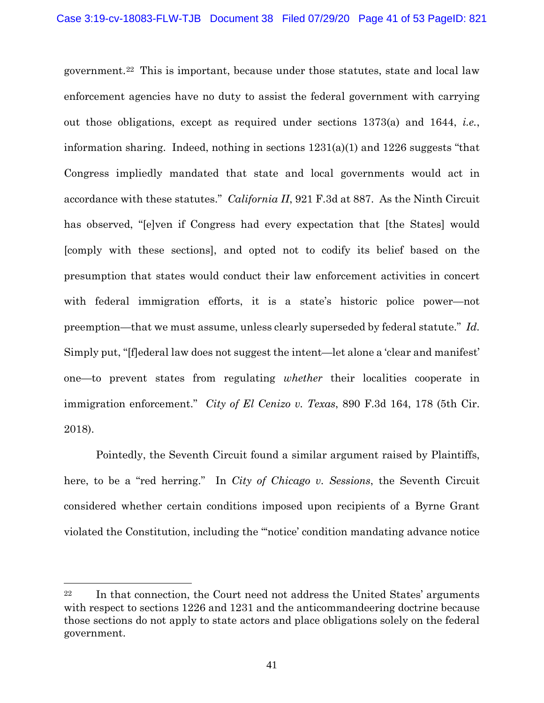government.22 This is important, because under those statutes, state and local law enforcement agencies have no duty to assist the federal government with carrying out those obligations, except as required under sections 1373(a) and 1644, *i.e.*, information sharing. Indeed, nothing in sections 1231(a)(1) and 1226 suggests "that Congress impliedly mandated that state and local governments would act in accordance with these statutes." *California II*, 921 F.3d at 887. As the Ninth Circuit has observed, "[e]ven if Congress had every expectation that [the States] would [comply with these sections], and opted not to codify its belief based on the presumption that states would conduct their law enforcement activities in concert with federal immigration efforts, it is a state's historic police power—not preemption—that we must assume, unless clearly superseded by federal statute." *Id.* Simply put, "[f]ederal law does not suggest the intent—let alone a 'clear and manifest' one—to prevent states from regulating *whether* their localities cooperate in immigration enforcement." *City of El Cenizo v. Texas*, 890 F.3d 164, 178 (5th Cir. 2018).

Pointedly, the Seventh Circuit found a similar argument raised by Plaintiffs, here, to be a "red herring." In *City of Chicago v. Sessions*, the Seventh Circuit considered whether certain conditions imposed upon recipients of a Byrne Grant violated the Constitution, including the "'notice' condition mandating advance notice

<sup>22</sup> In that connection, the Court need not address the United States' arguments with respect to sections 1226 and 1231 and the anticommandeering doctrine because those sections do not apply to state actors and place obligations solely on the federal government.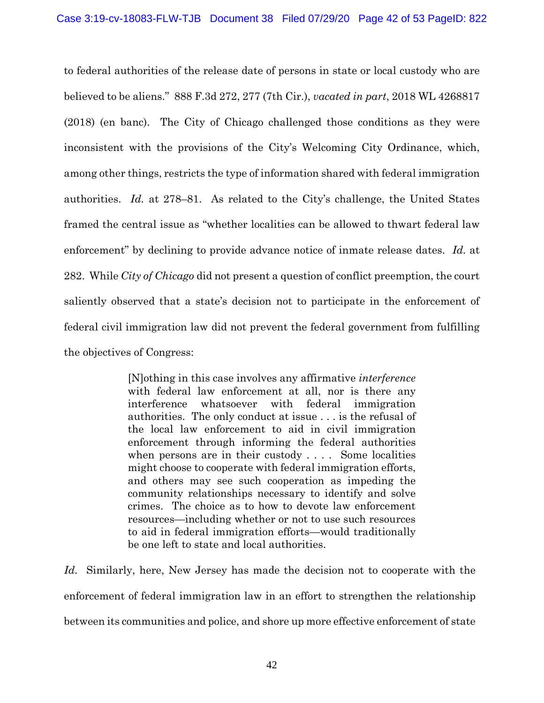to federal authorities of the release date of persons in state or local custody who are believed to be aliens." 888 F.3d 272, 277 (7th Cir.), *vacated in part*, 2018 WL 4268817 (2018) (en banc). The City of Chicago challenged those conditions as they were inconsistent with the provisions of the City's Welcoming City Ordinance, which, among other things, restricts the type of information shared with federal immigration authorities. *Id.* at 278–81. As related to the City's challenge, the United States framed the central issue as "whether localities can be allowed to thwart federal law enforcement" by declining to provide advance notice of inmate release dates. *Id.* at 282. While *City of Chicago* did not present a question of conflict preemption, the court saliently observed that a state's decision not to participate in the enforcement of federal civil immigration law did not prevent the federal government from fulfilling the objectives of Congress:

> [N]othing in this case involves any affirmative *interference* with federal law enforcement at all, nor is there any interference whatsoever with federal immigration authorities. The only conduct at issue . . . is the refusal of the local law enforcement to aid in civil immigration enforcement through informing the federal authorities when persons are in their custody . . . . Some localities might choose to cooperate with federal immigration efforts, and others may see such cooperation as impeding the community relationships necessary to identify and solve crimes. The choice as to how to devote law enforcement resources—including whether or not to use such resources to aid in federal immigration efforts—would traditionally be one left to state and local authorities.

*Id.* Similarly, here, New Jersey has made the decision not to cooperate with the enforcement of federal immigration law in an effort to strengthen the relationship between its communities and police, and shore up more effective enforcement of state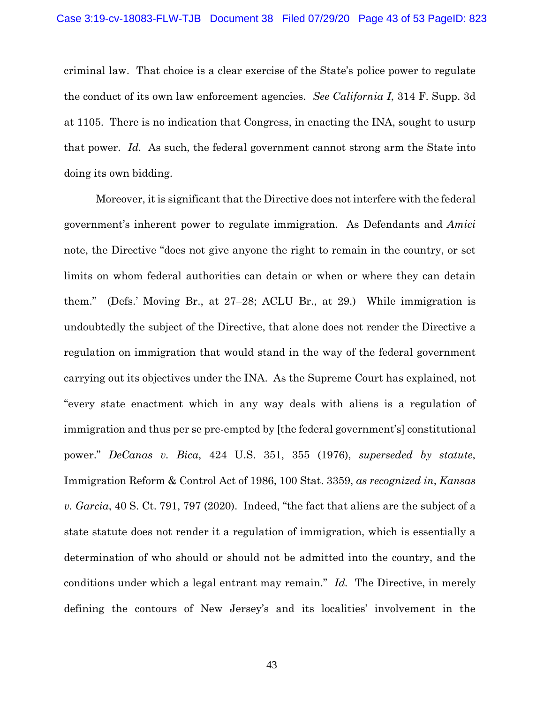criminal law. That choice is a clear exercise of the State's police power to regulate the conduct of its own law enforcement agencies. *See California I*, 314 F. Supp. 3d at 1105. There is no indication that Congress, in enacting the INA, sought to usurp that power. *Id.* As such, the federal government cannot strong arm the State into doing its own bidding.

Moreover, it is significant that the Directive does not interfere with the federal government's inherent power to regulate immigration. As Defendants and *Amici* note, the Directive "does not give anyone the right to remain in the country, or set limits on whom federal authorities can detain or when or where they can detain them." (Defs.' Moving Br., at 27–28; ACLU Br., at 29.) While immigration is undoubtedly the subject of the Directive, that alone does not render the Directive a regulation on immigration that would stand in the way of the federal government carrying out its objectives under the INA. As the Supreme Court has explained, not "every state enactment which in any way deals with aliens is a regulation of immigration and thus per se pre-empted by [the federal government's] constitutional power." *DeCanas v. Bica*, 424 U.S. 351, 355 (1976), *superseded by statute*, Immigration Reform & Control Act of 1986, 100 Stat. 3359, *as recognized in*, *Kansas v. Garcia*, 40 S. Ct. 791, 797 (2020). Indeed, "the fact that aliens are the subject of a state statute does not render it a regulation of immigration, which is essentially a determination of who should or should not be admitted into the country, and the conditions under which a legal entrant may remain." *Id.* The Directive, in merely defining the contours of New Jersey's and its localities' involvement in the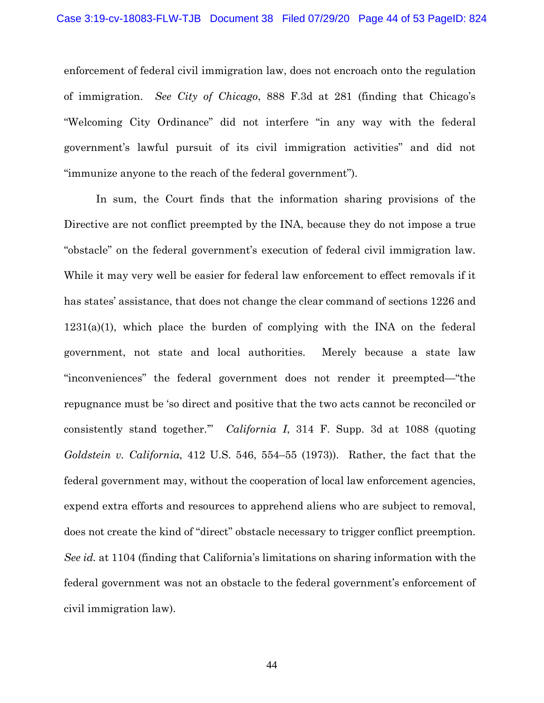enforcement of federal civil immigration law, does not encroach onto the regulation of immigration. *See City of Chicago*, 888 F.3d at 281 (finding that Chicago's "Welcoming City Ordinance" did not interfere "in any way with the federal government's lawful pursuit of its civil immigration activities" and did not "immunize anyone to the reach of the federal government").

In sum, the Court finds that the information sharing provisions of the Directive are not conflict preempted by the INA, because they do not impose a true "obstacle" on the federal government's execution of federal civil immigration law. While it may very well be easier for federal law enforcement to effect removals if it has states' assistance, that does not change the clear command of sections 1226 and  $1231(a)(1)$ , which place the burden of complying with the INA on the federal government, not state and local authorities. Merely because a state law "inconveniences" the federal government does not render it preempted—"the repugnance must be 'so direct and positive that the two acts cannot be reconciled or consistently stand together.'" *California I*, 314 F. Supp. 3d at 1088 (quoting *Goldstein v. California*, 412 U.S. 546, 554–55 (1973)). Rather, the fact that the federal government may, without the cooperation of local law enforcement agencies, expend extra efforts and resources to apprehend aliens who are subject to removal, does not create the kind of "direct" obstacle necessary to trigger conflict preemption. *See id.* at 1104 (finding that California's limitations on sharing information with the federal government was not an obstacle to the federal government's enforcement of civil immigration law).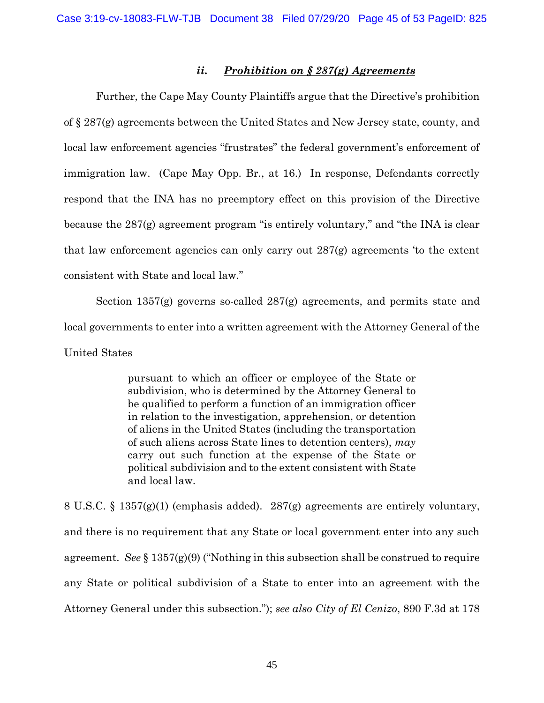# *ii. Prohibition on § 287(g) Agreements*

Further, the Cape May County Plaintiffs argue that the Directive's prohibition of § 287(g) agreements between the United States and New Jersey state, county, and local law enforcement agencies "frustrates" the federal government's enforcement of immigration law. (Cape May Opp. Br., at 16.) In response, Defendants correctly respond that the INA has no preemptory effect on this provision of the Directive because the 287(g) agreement program "is entirely voluntary," and "the INA is clear that law enforcement agencies can only carry out 287(g) agreements 'to the extent consistent with State and local law."

Section 1357(g) governs so-called 287(g) agreements, and permits state and local governments to enter into a written agreement with the Attorney General of the United States

> pursuant to which an officer or employee of the State or subdivision, who is determined by the Attorney General to be qualified to perform a function of an immigration officer in relation to the investigation, apprehension, or detention of aliens in the United States (including the transportation of such aliens across State lines to detention centers), *may* carry out such function at the expense of the State or political subdivision and to the extent consistent with State and local law.

8 U.S.C. § 1357(g)(1) (emphasis added). 287(g) agreements are entirely voluntary, and there is no requirement that any State or local government enter into any such agreement. *See* § 1357(g)(9) ("Nothing in this subsection shall be construed to require any State or political subdivision of a State to enter into an agreement with the Attorney General under this subsection."); *see also City of El Cenizo*, 890 F.3d at 178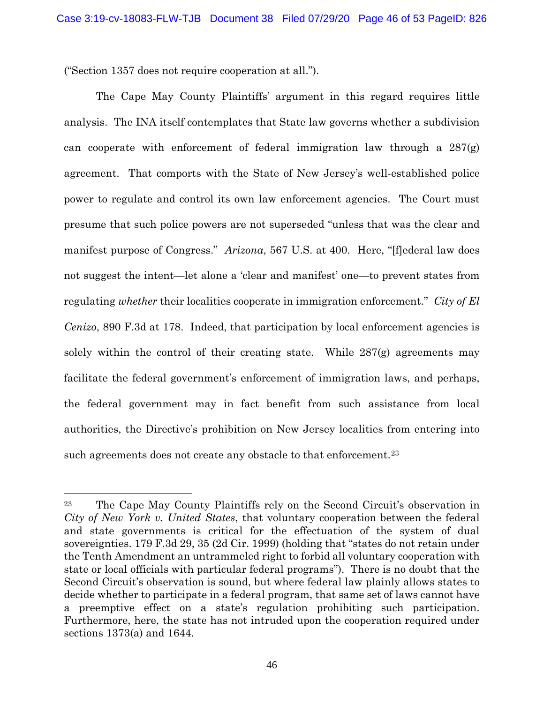("Section 1357 does not require cooperation at all.").

The Cape May County Plaintiffs' argument in this regard requires little analysis. The INA itself contemplates that State law governs whether a subdivision can cooperate with enforcement of federal immigration law through a  $287(g)$ agreement. That comports with the State of New Jersey's well-established police power to regulate and control its own law enforcement agencies. The Court must presume that such police powers are not superseded "unless that was the clear and manifest purpose of Congress." *Arizona*, 567 U.S. at 400. Here, "[f]ederal law does not suggest the intent—let alone a 'clear and manifest' one—to prevent states from regulating *whether* their localities cooperate in immigration enforcement." *City of El Cenizo*, 890 F.3d at 178. Indeed, that participation by local enforcement agencies is solely within the control of their creating state. While  $287(g)$  agreements may facilitate the federal government's enforcement of immigration laws, and perhaps, the federal government may in fact benefit from such assistance from local authorities, the Directive's prohibition on New Jersey localities from entering into such agreements does not create any obstacle to that enforcement.<sup>23</sup>

<sup>23</sup> The Cape May County Plaintiffs rely on the Second Circuit's observation in *City of New York v. United States*, that voluntary cooperation between the federal and state governments is critical for the effectuation of the system of dual sovereignties. 179 F.3d 29, 35 (2d Cir. 1999) (holding that "states do not retain under the Tenth Amendment an untrammeled right to forbid all voluntary cooperation with state or local officials with particular federal programs"). There is no doubt that the Second Circuit's observation is sound, but where federal law plainly allows states to decide whether to participate in a federal program, that same set of laws cannot have a preemptive effect on a state's regulation prohibiting such participation. Furthermore, here, the state has not intruded upon the cooperation required under sections 1373(a) and 1644.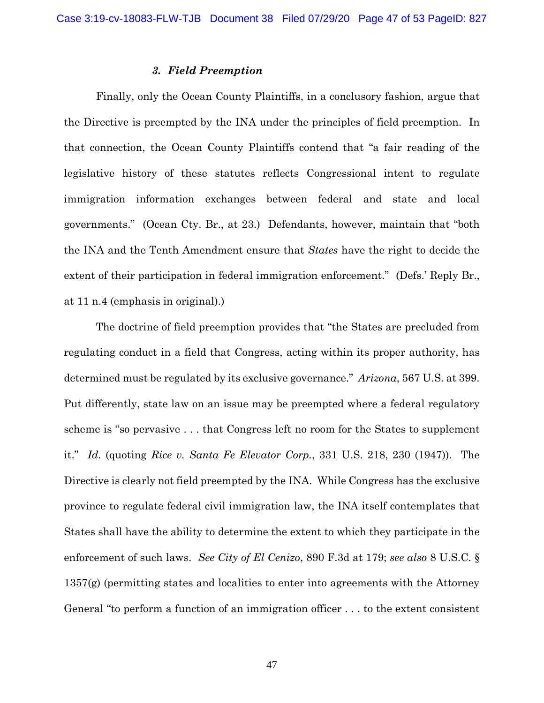### *3. Field Preemption*

Finally, only the Ocean County Plaintiffs, in a conclusory fashion, argue that the Directive is preempted by the INA under the principles of field preemption. In that connection, the Ocean County Plaintiffs contend that "a fair reading of the legislative history of these statutes reflects Congressional intent to regulate immigration information exchanges between federal and state and local governments." (Ocean Cty. Br., at 23.) Defendants, however, maintain that "both the INA and the Tenth Amendment ensure that *States* have the right to decide the extent of their participation in federal immigration enforcement." (Defs.' Reply Br., at 11 n.4 (emphasis in original).)

The doctrine of field preemption provides that "the States are precluded from regulating conduct in a field that Congress, acting within its proper authority, has determined must be regulated by its exclusive governance." *Arizona*, 567 U.S. at 399. Put differently, state law on an issue may be preempted where a federal regulatory scheme is "so pervasive . . . that Congress left no room for the States to supplement it." *Id.* (quoting *Rice v. Santa Fe Elevator Corp.*, 331 U.S. 218, 230 (1947)). The Directive is clearly not field preempted by the INA. While Congress has the exclusive province to regulate federal civil immigration law, the INA itself contemplates that States shall have the ability to determine the extent to which they participate in the enforcement of such laws. *See City of El Cenizo*, 890 F.3d at 179; *see also* 8 U.S.C. § 1357(g) (permitting states and localities to enter into agreements with the Attorney General "to perform a function of an immigration officer . . . to the extent consistent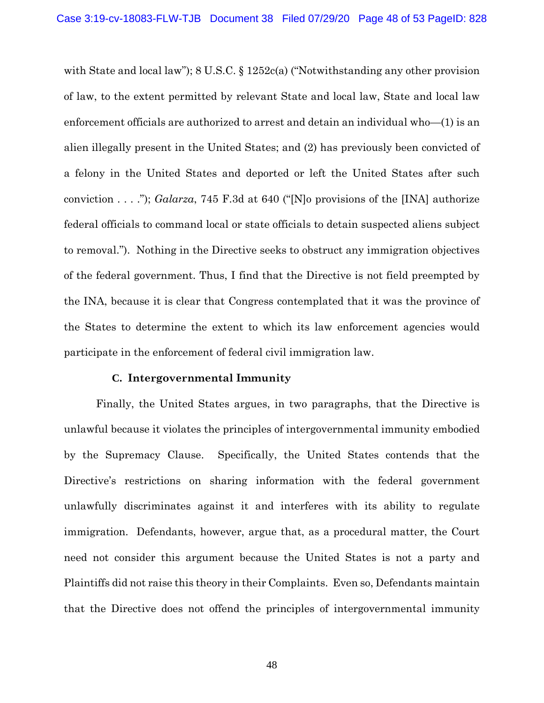with State and local law"); 8 U.S.C. § 1252c(a) ("Notwithstanding any other provision of law, to the extent permitted by relevant State and local law, State and local law enforcement officials are authorized to arrest and detain an individual who—(1) is an alien illegally present in the United States; and (2) has previously been convicted of a felony in the United States and deported or left the United States after such conviction . . . ."); *Galarza*, 745 F.3d at 640 ("[N]o provisions of the [INA] authorize federal officials to command local or state officials to detain suspected aliens subject to removal."). Nothing in the Directive seeks to obstruct any immigration objectives of the federal government. Thus, I find that the Directive is not field preempted by the INA, because it is clear that Congress contemplated that it was the province of the States to determine the extent to which its law enforcement agencies would participate in the enforcement of federal civil immigration law.

#### **C. Intergovernmental Immunity**

Finally, the United States argues, in two paragraphs, that the Directive is unlawful because it violates the principles of intergovernmental immunity embodied by the Supremacy Clause. Specifically, the United States contends that the Directive's restrictions on sharing information with the federal government unlawfully discriminates against it and interferes with its ability to regulate immigration. Defendants, however, argue that, as a procedural matter, the Court need not consider this argument because the United States is not a party and Plaintiffs did not raise this theory in their Complaints. Even so, Defendants maintain that the Directive does not offend the principles of intergovernmental immunity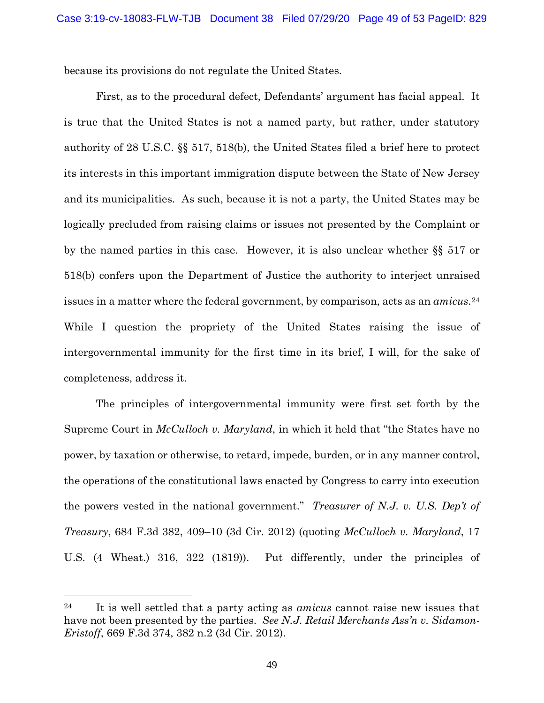because its provisions do not regulate the United States.

First, as to the procedural defect, Defendants' argument has facial appeal. It is true that the United States is not a named party, but rather, under statutory authority of 28 U.S.C. §§ 517, 518(b), the United States filed a brief here to protect its interests in this important immigration dispute between the State of New Jersey and its municipalities. As such, because it is not a party, the United States may be logically precluded from raising claims or issues not presented by the Complaint or by the named parties in this case. However, it is also unclear whether §§ 517 or 518(b) confers upon the Department of Justice the authority to interject unraised issues in a matter where the federal government, by comparison, acts as an *amicus*.24 While I question the propriety of the United States raising the issue of intergovernmental immunity for the first time in its brief, I will, for the sake of completeness, address it.

The principles of intergovernmental immunity were first set forth by the Supreme Court in *McCulloch v. Maryland*, in which it held that "the States have no power, by taxation or otherwise, to retard, impede, burden, or in any manner control, the operations of the constitutional laws enacted by Congress to carry into execution the powers vested in the national government." *Treasurer of N.J. v. U.S. Dep't of Treasury*, 684 F.3d 382, 409–10 (3d Cir. 2012) (quoting *McCulloch v. Maryland*, 17 U.S. (4 Wheat.) 316, 322 (1819)). Put differently, under the principles of

<sup>24</sup> It is well settled that a party acting as *amicus* cannot raise new issues that have not been presented by the parties. *See N.J. Retail Merchants Ass'n v. Sidamon-Eristoff*, 669 F.3d 374, 382 n.2 (3d Cir. 2012).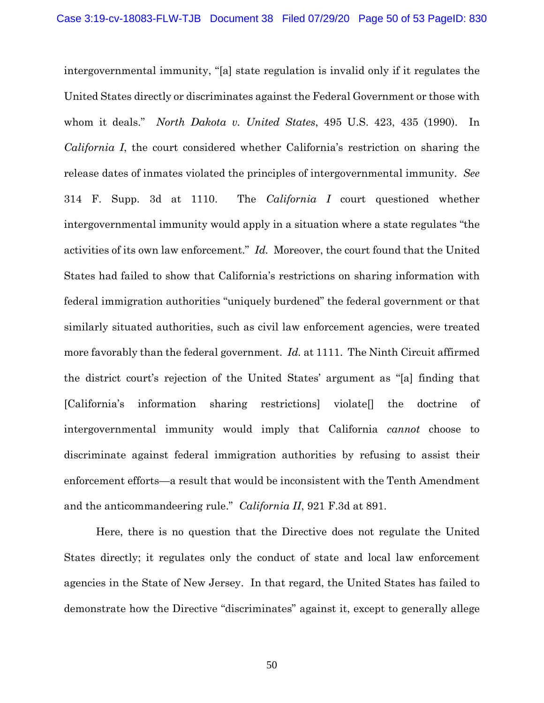intergovernmental immunity, "[a] state regulation is invalid only if it regulates the United States directly or discriminates against the Federal Government or those with whom it deals." *North Dakota v. United States*, 495 U.S. 423, 435 (1990). In *California I*, the court considered whether California's restriction on sharing the release dates of inmates violated the principles of intergovernmental immunity. *See* 314 F. Supp. 3d at 1110. The *California I* court questioned whether intergovernmental immunity would apply in a situation where a state regulates "the activities of its own law enforcement." *Id.* Moreover, the court found that the United States had failed to show that California's restrictions on sharing information with federal immigration authorities "uniquely burdened" the federal government or that similarly situated authorities, such as civil law enforcement agencies, were treated more favorably than the federal government. *Id.* at 1111. The Ninth Circuit affirmed the district court's rejection of the United States' argument as "[a] finding that [California's information sharing restrictions] violate[] the doctrine of intergovernmental immunity would imply that California *cannot* choose to discriminate against federal immigration authorities by refusing to assist their enforcement efforts—a result that would be inconsistent with the Tenth Amendment and the anticommandeering rule." *California II*, 921 F.3d at 891.

Here, there is no question that the Directive does not regulate the United States directly; it regulates only the conduct of state and local law enforcement agencies in the State of New Jersey. In that regard, the United States has failed to demonstrate how the Directive "discriminates" against it, except to generally allege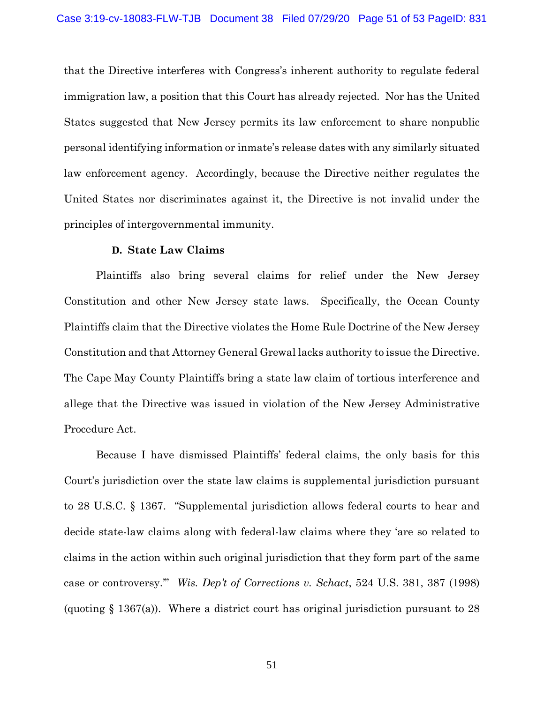that the Directive interferes with Congress's inherent authority to regulate federal immigration law, a position that this Court has already rejected. Nor has the United States suggested that New Jersey permits its law enforcement to share nonpublic personal identifying information or inmate's release dates with any similarly situated law enforcement agency. Accordingly, because the Directive neither regulates the United States nor discriminates against it, the Directive is not invalid under the principles of intergovernmental immunity.

### **D. State Law Claims**

Plaintiffs also bring several claims for relief under the New Jersey Constitution and other New Jersey state laws. Specifically, the Ocean County Plaintiffs claim that the Directive violates the Home Rule Doctrine of the New Jersey Constitution and that Attorney General Grewal lacks authority to issue the Directive. The Cape May County Plaintiffs bring a state law claim of tortious interference and allege that the Directive was issued in violation of the New Jersey Administrative Procedure Act.

Because I have dismissed Plaintiffs' federal claims, the only basis for this Court's jurisdiction over the state law claims is supplemental jurisdiction pursuant to 28 U.S.C. § 1367. "Supplemental jurisdiction allows federal courts to hear and decide state-law claims along with federal-law claims where they 'are so related to claims in the action within such original jurisdiction that they form part of the same case or controversy.'" *Wis. Dep't of Corrections v. Schact*, 524 U.S. 381, 387 (1998) (quoting  $\S 1367(a)$ ). Where a district court has original jurisdiction pursuant to 28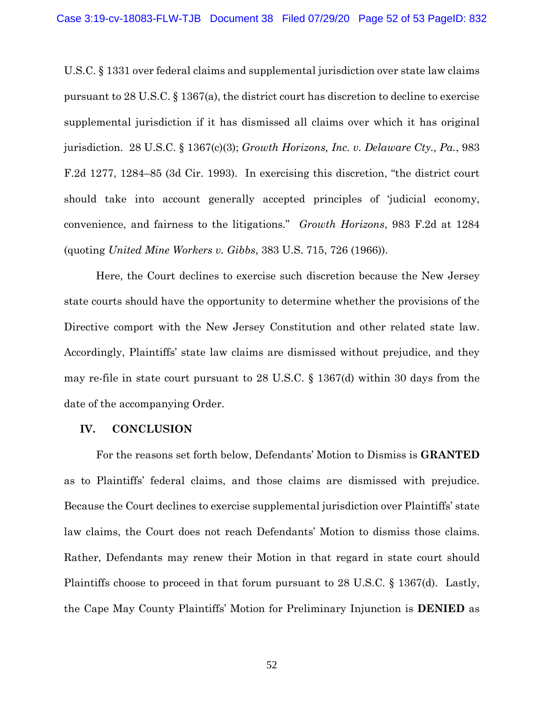U.S.C. § 1331 over federal claims and supplemental jurisdiction over state law claims pursuant to 28 U.S.C. § 1367(a), the district court has discretion to decline to exercise supplemental jurisdiction if it has dismissed all claims over which it has original jurisdiction. 28 U.S.C. § 1367(c)(3); *Growth Horizons, Inc. v. Delaware Cty., Pa.*, 983 F.2d 1277, 1284–85 (3d Cir. 1993). In exercising this discretion, "the district court should take into account generally accepted principles of 'judicial economy, convenience, and fairness to the litigations." *Growth Horizons*, 983 F.2d at 1284 (quoting *United Mine Workers v. Gibbs*, 383 U.S. 715, 726 (1966)).

Here, the Court declines to exercise such discretion because the New Jersey state courts should have the opportunity to determine whether the provisions of the Directive comport with the New Jersey Constitution and other related state law. Accordingly, Plaintiffs' state law claims are dismissed without prejudice, and they may re-file in state court pursuant to 28 U.S.C. § 1367(d) within 30 days from the date of the accompanying Order.

#### **IV. CONCLUSION**

For the reasons set forth below, Defendants' Motion to Dismiss is **GRANTED**  as to Plaintiffs' federal claims, and those claims are dismissed with prejudice. Because the Court declines to exercise supplemental jurisdiction over Plaintiffs' state law claims, the Court does not reach Defendants' Motion to dismiss those claims. Rather, Defendants may renew their Motion in that regard in state court should Plaintiffs choose to proceed in that forum pursuant to 28 U.S.C. § 1367(d). Lastly, the Cape May County Plaintiffs' Motion for Preliminary Injunction is **DENIED** as